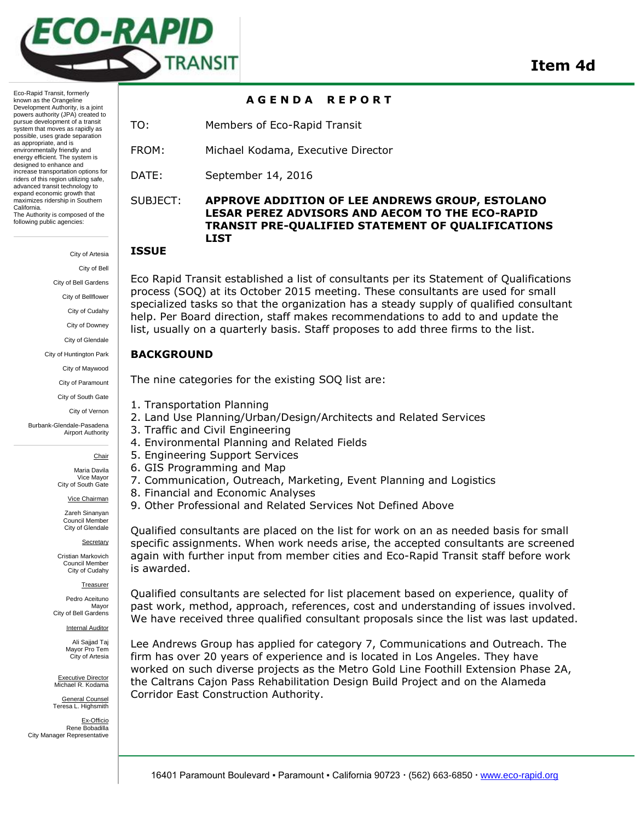

**A G E N D A R E P O R T** 

known as the Orangeline Development Authority, is a joint powers authority (JPA) created to pursue development of a transit system that moves as rapidly as possible, uses grade separation as appropriate, and is environmentally friendly and energy efficient. The system is designed to enhance and increase transportation options for riders of this region utilizing safe, advanced transit technology to expand economic growth that maximizes ridership in Southern California. The Authority is composed of the following public agencies:

Eco-Rapid Transit, formerly

City of Artesia City of Bell City of Bell Gardens City of Bellflower City of Cudahy City of Downey City of Glendale City of Huntington Park City of Maywood City of Paramount City of South Gate City of Vernon Burbank-Glendale-Pasadena Airport Authority

**Chair** 

Maria Davila Vice Mayor City of South Gate

Vice Chairman

Zareh Sinanyan Council Member City of Glendale

**Secretary** Cristian Markovich

Council Member City of Cudahy

Treasurer

Pedro Aceituno Mayor City of Bell Gardens

Internal Auditor

Ali Sajjad Taj Mayor Pro Tem City of Artesia

Executive Director Michael R. Kodama

General Counsel Teresa L. Highsmith

Ex-Officio Rene Bobadilla City Manager Representative

TO: Members of Eco-Rapid Transit

FROM: Michael Kodama, Executive Director

DATE: September 14, 2016

## SUBJECT: **APPROVE ADDITION OF LEE ANDREWS GROUP, ESTOLANO LESAR PEREZ ADVISORS AND AECOM TO THE ECO-RAPID TRANSIT PRE-QUALIFIED STATEMENT OF QUALIFICATIONS LIST**

#### **ISSUE**

Eco Rapid Transit established a list of consultants per its Statement of Qualifications process (SOQ) at its October 2015 meeting. These consultants are used for small specialized tasks so that the organization has a steady supply of qualified consultant help. Per Board direction, staff makes recommendations to add to and update the list, usually on a quarterly basis. Staff proposes to add three firms to the list.

#### **BACKGROUND**

The nine categories for the existing SOQ list are:

- 1. Transportation Planning
- 2. Land Use Planning/Urban/Design/Architects and Related Services
- 3. Traffic and Civil Engineering
- 4. Environmental Planning and Related Fields
- 5. Engineering Support Services
- 6. GIS Programming and Map
- 7. Communication, Outreach, Marketing, Event Planning and Logistics
- 8. Financial and Economic Analyses
- 9. Other Professional and Related Services Not Defined Above

Qualified consultants are placed on the list for work on an as needed basis for small specific assignments. When work needs arise, the accepted consultants are screened again with further input from member cities and Eco-Rapid Transit staff before work is awarded.

Qualified consultants are selected for list placement based on experience, quality of past work, method, approach, references, cost and understanding of issues involved. We have received three qualified consultant proposals since the list was last updated.

Lee Andrews Group has applied for category 7, Communications and Outreach. The firm has over 20 years of experience and is located in Los Angeles. They have worked on such diverse projects as the Metro Gold Line Foothill Extension Phase 2A, the Caltrans Cajon Pass Rehabilitation Design Build Project and on the Alameda Corridor East Construction Authority.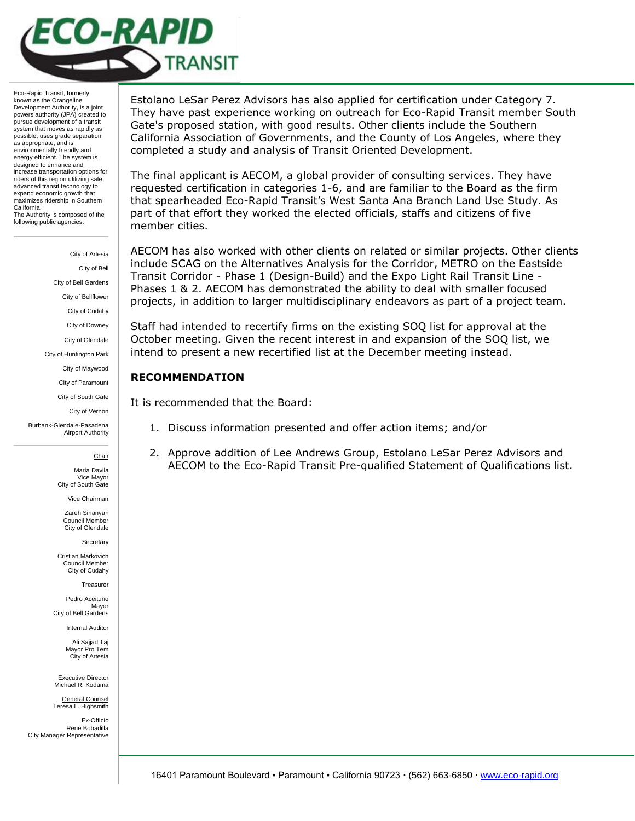

Eco-Rapid Transit, formerly known as the Orangeline Development Authority, is a joint powers authority (JPA) created to pursue development of a transit system that moves as rapidly as possible, uses grade separation as appropriate, and is environmentally friendly and energy efficient. The system is designed to enhance and increase transportation options for riders of this region utilizing safe, advanced transit technology to expand economic growth that maximizes ridership in Southern California. The Authority is composed of the following public agencies:

> City of Artesia City of Bell City of Bell Gardens City of Bellflower City of Cudahy City of Downey City of Glendale City of Huntington Park City of Maywood City of Paramount City of South Gate City of Vernon Burbank-Glendale-Pasadena Airport Authority

> > **Chair**

Maria Davila Vice Mayor City of South Gate

Vice Chairman

Zareh Sinanyan Council Member City of Glendale

**Secretary** 

Cristian Markovich Council Member City of Cudahy

Treasurer

Pedro Aceituno Mayor City of Bell Gardens

Internal Auditor

Ali Sajjad Taj Mayor Pro Tem City of Artesia

Executive Director Michael R. Kodama

General Counsel Teresa L. Highsmith

Ex-Officio Rene Bobadilla City Manager Representative

Estolano LeSar Perez Advisors has also applied for certification under Category 7. They have past experience working on outreach for Eco-Rapid Transit member South Gate's proposed station, with good results. Other clients include the Southern California Association of Governments, and the County of Los Angeles, where they completed a study and analysis of Transit Oriented Development.

The final applicant is AECOM, a global provider of consulting services. They have requested certification in categories 1-6, and are familiar to the Board as the firm that spearheaded Eco-Rapid Transit's West Santa Ana Branch Land Use Study. As part of that effort they worked the elected officials, staffs and citizens of five member cities.

AECOM has also worked with other clients on related or similar projects. Other clients include SCAG on the Alternatives Analysis for the Corridor, METRO on the Eastside Transit Corridor - Phase 1 (Design-Build) and the Expo Light Rail Transit Line - Phases 1 & 2. AECOM has demonstrated the ability to deal with smaller focused projects, in addition to larger multidisciplinary endeavors as part of a project team.

Staff had intended to recertify firms on the existing SOQ list for approval at the October meeting. Given the recent interest in and expansion of the SOQ list, we intend to present a new recertified list at the December meeting instead.

## **RECOMMENDATION**

It is recommended that the Board:

- 1. Discuss information presented and offer action items; and/or
- 2. Approve addition of Lee Andrews Group, Estolano LeSar Perez Advisors and AECOM to the Eco-Rapid Transit Pre-qualified Statement of Qualifications list.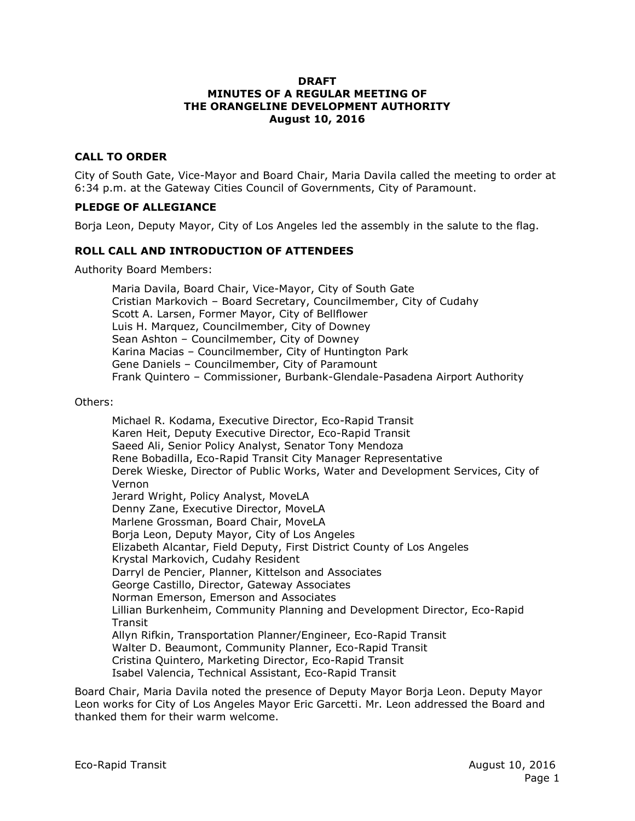#### **DRAFT MINUTES OF A REGULAR MEETING OF THE ORANGELINE DEVELOPMENT AUTHORITY August 10, 2016**

### **CALL TO ORDER**

City of South Gate, Vice-Mayor and Board Chair, Maria Davila called the meeting to order at 6:34 p.m. at the Gateway Cities Council of Governments, City of Paramount.

#### **PLEDGE OF ALLEGIANCE**

Borja Leon, Deputy Mayor, City of Los Angeles led the assembly in the salute to the flag.

#### **ROLL CALL AND INTRODUCTION OF ATTENDEES**

Authority Board Members:

Maria Davila, Board Chair, Vice-Mayor, City of South Gate Cristian Markovich – Board Secretary, Councilmember, City of Cudahy Scott A. Larsen, Former Mayor, City of Bellflower Luis H. Marquez, Councilmember, City of Downey Sean Ashton – Councilmember, City of Downey Karina Macias – Councilmember, City of Huntington Park Gene Daniels – Councilmember, City of Paramount Frank Quintero – Commissioner, Burbank-Glendale-Pasadena Airport Authority

Others:

Michael R. Kodama, Executive Director, Eco-Rapid Transit Karen Heit, Deputy Executive Director, Eco-Rapid Transit Saeed Ali, Senior Policy Analyst, Senator Tony Mendoza Rene Bobadilla, Eco-Rapid Transit City Manager Representative Derek Wieske, Director of Public Works, Water and Development Services, City of Vernon Jerard Wright, Policy Analyst, MoveLA Denny Zane, Executive Director, MoveLA Marlene Grossman, Board Chair, MoveLA Borja Leon, Deputy Mayor, City of Los Angeles Elizabeth Alcantar, Field Deputy, First District County of Los Angeles Krystal Markovich, Cudahy Resident Darryl de Pencier, Planner, Kittelson and Associates George Castillo, Director, Gateway Associates Norman Emerson, Emerson and Associates Lillian Burkenheim, Community Planning and Development Director, Eco-Rapid **Transit** Allyn Rifkin, Transportation Planner/Engineer, Eco-Rapid Transit Walter D. Beaumont, Community Planner, Eco-Rapid Transit Cristina Quintero, Marketing Director, Eco-Rapid Transit Isabel Valencia, Technical Assistant, Eco-Rapid Transit

Board Chair, Maria Davila noted the presence of Deputy Mayor Borja Leon. Deputy Mayor Leon works for City of Los Angeles Mayor Eric Garcetti. Mr. Leon addressed the Board and thanked them for their warm welcome.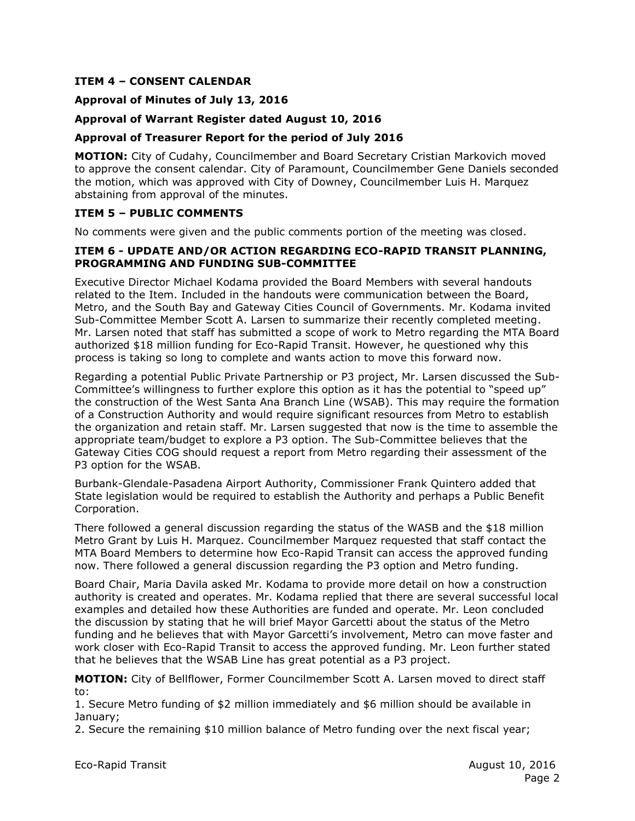#### **ITEM 4 – CONSENT CALENDAR**

#### **Approval of Minutes of July 13, 2016**

#### **Approval of Warrant Register dated August 10, 2016**

#### **Approval of Treasurer Report for the period of July 2016**

**MOTION:** City of Cudahy, Councilmember and Board Secretary Cristian Markovich moved to approve the consent calendar. City of Paramount, Councilmember Gene Daniels seconded the motion, which was approved with City of Downey, Councilmember Luis H. Marquez abstaining from approval of the minutes.

#### **ITEM 5 – PUBLIC COMMENTS**

No comments were given and the public comments portion of the meeting was closed.

#### **ITEM 6 - UPDATE AND/OR ACTION REGARDING ECO-RAPID TRANSIT PLANNING, PROGRAMMING AND FUNDING SUB-COMMITTEE**

Executive Director Michael Kodama provided the Board Members with several handouts related to the Item. Included in the handouts were communication between the Board, Metro, and the South Bay and Gateway Cities Council of Governments. Mr. Kodama invited Sub-Committee Member Scott A. Larsen to summarize their recently completed meeting. Mr. Larsen noted that staff has submitted a scope of work to Metro regarding the MTA Board authorized \$18 million funding for Eco-Rapid Transit. However, he questioned why this process is taking so long to complete and wants action to move this forward now.

Regarding a potential Public Private Partnership or P3 project, Mr. Larsen discussed the Sub-Committee's willingness to further explore this option as it has the potential to "speed up" the construction of the West Santa Ana Branch Line (WSAB). This may require the formation of a Construction Authority and would require significant resources from Metro to establish the organization and retain staff. Mr. Larsen suggested that now is the time to assemble the appropriate team/budget to explore a P3 option. The Sub-Committee believes that the Gateway Cities COG should request a report from Metro regarding their assessment of the P3 option for the WSAB.

Burbank-Glendale-Pasadena Airport Authority, Commissioner Frank Quintero added that State legislation would be required to establish the Authority and perhaps a Public Benefit Corporation.

There followed a general discussion regarding the status of the WASB and the \$18 million Metro Grant by Luis H. Marquez. Councilmember Marquez requested that staff contact the MTA Board Members to determine how Eco-Rapid Transit can access the approved funding now. There followed a general discussion regarding the P3 option and Metro funding.

Board Chair, Maria Davila asked Mr. Kodama to provide more detail on how a construction authority is created and operates. Mr. Kodama replied that there are several successful local examples and detailed how these Authorities are funded and operate. Mr. Leon concluded the discussion by stating that he will brief Mayor Garcetti about the status of the Metro funding and he believes that with Mayor Garcetti's involvement, Metro can move faster and work closer with Eco-Rapid Transit to access the approved funding. Mr. Leon further stated that he believes that the WSAB Line has great potential as a P3 project.

**MOTION:** City of Bellflower, Former Councilmember Scott A. Larsen moved to direct staff to:

1. Secure Metro funding of \$2 million immediately and \$6 million should be available in January;

2. Secure the remaining \$10 million balance of Metro funding over the next fiscal year;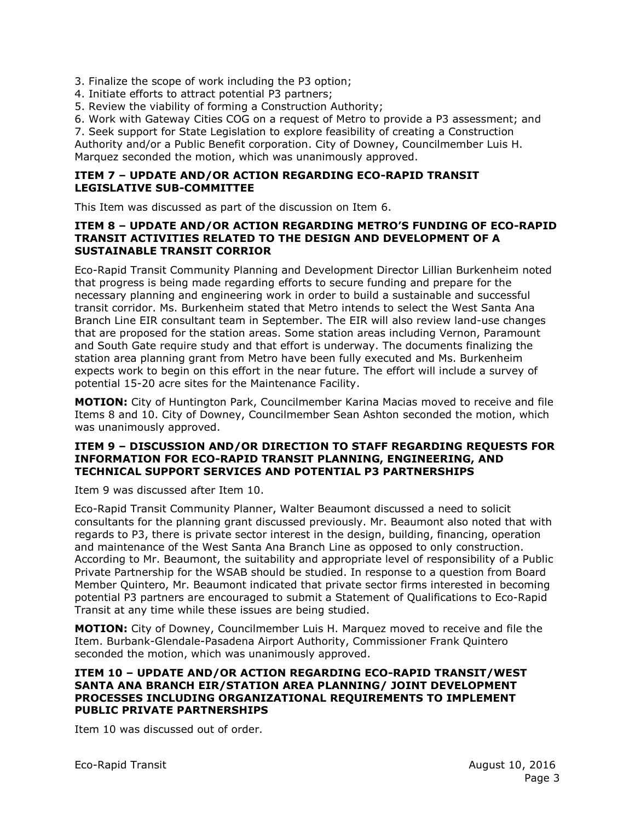3. Finalize the scope of work including the P3 option;

4. Initiate efforts to attract potential P3 partners;

5. Review the viability of forming a Construction Authority;

6. Work with Gateway Cities COG on a request of Metro to provide a P3 assessment; and

7. Seek support for State Legislation to explore feasibility of creating a Construction

Authority and/or a Public Benefit corporation. City of Downey, Councilmember Luis H. Marquez seconded the motion, which was unanimously approved.

#### **ITEM 7 – UPDATE AND/OR ACTION REGARDING ECO-RAPID TRANSIT LEGISLATIVE SUB-COMMITTEE**

This Item was discussed as part of the discussion on Item 6.

#### **ITEM 8 – UPDATE AND/OR ACTION REGARDING METRO'S FUNDING OF ECO-RAPID TRANSIT ACTIVITIES RELATED TO THE DESIGN AND DEVELOPMENT OF A SUSTAINABLE TRANSIT CORRIOR**

Eco-Rapid Transit Community Planning and Development Director Lillian Burkenheim noted that progress is being made regarding efforts to secure funding and prepare for the necessary planning and engineering work in order to build a sustainable and successful transit corridor. Ms. Burkenheim stated that Metro intends to select the West Santa Ana Branch Line EIR consultant team in September. The EIR will also review land-use changes that are proposed for the station areas. Some station areas including Vernon, Paramount and South Gate require study and that effort is underway. The documents finalizing the station area planning grant from Metro have been fully executed and Ms. Burkenheim expects work to begin on this effort in the near future. The effort will include a survey of potential 15-20 acre sites for the Maintenance Facility.

**MOTION:** City of Huntington Park, Councilmember Karina Macias moved to receive and file Items 8 and 10. City of Downey, Councilmember Sean Ashton seconded the motion, which was unanimously approved.

#### **ITEM 9 – DISCUSSION AND/OR DIRECTION TO STAFF REGARDING REQUESTS FOR INFORMATION FOR ECO-RAPID TRANSIT PLANNING, ENGINEERING, AND TECHNICAL SUPPORT SERVICES AND POTENTIAL P3 PARTNERSHIPS**

Item 9 was discussed after Item 10.

Eco-Rapid Transit Community Planner, Walter Beaumont discussed a need to solicit consultants for the planning grant discussed previously. Mr. Beaumont also noted that with regards to P3, there is private sector interest in the design, building, financing, operation and maintenance of the West Santa Ana Branch Line as opposed to only construction. According to Mr. Beaumont, the suitability and appropriate level of responsibility of a Public Private Partnership for the WSAB should be studied. In response to a question from Board Member Quintero, Mr. Beaumont indicated that private sector firms interested in becoming potential P3 partners are encouraged to submit a Statement of Qualifications to Eco-Rapid Transit at any time while these issues are being studied.

**MOTION:** City of Downey, Councilmember Luis H. Marquez moved to receive and file the Item. Burbank-Glendale-Pasadena Airport Authority, Commissioner Frank Quintero seconded the motion, which was unanimously approved.

#### **ITEM 10 – UPDATE AND/OR ACTION REGARDING ECO-RAPID TRANSIT/WEST SANTA ANA BRANCH EIR/STATION AREA PLANNING/ JOINT DEVELOPMENT PROCESSES INCLUDING ORGANIZATIONAL REQUIREMENTS TO IMPLEMENT PUBLIC PRIVATE PARTNERSHIPS**

Item 10 was discussed out of order.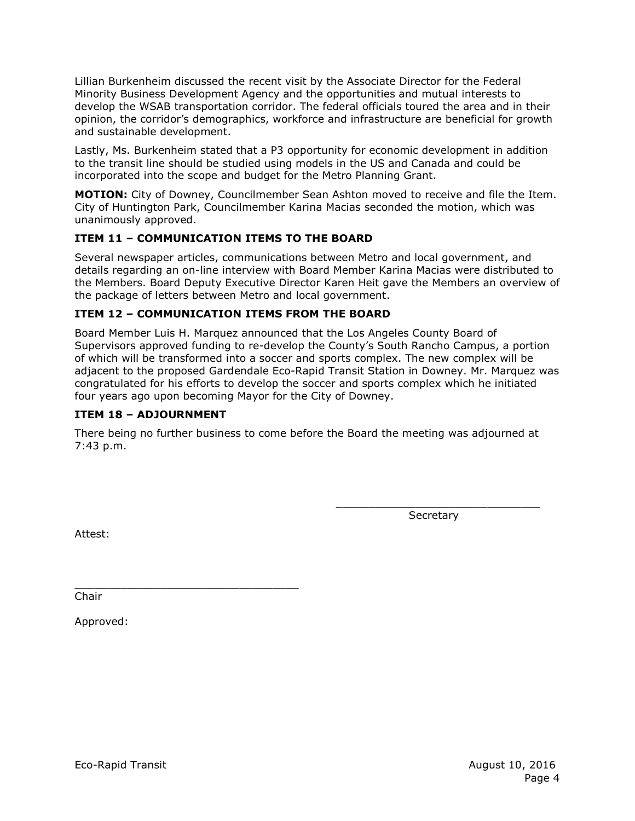Lillian Burkenheim discussed the recent visit by the Associate Director for the Federal Minority Business Development Agency and the opportunities and mutual interests to develop the WSAB transportation corridor. The federal officials toured the area and in their opinion, the corridor's demographics, workforce and infrastructure are beneficial for growth and sustainable development.

Lastly, Ms. Burkenheim stated that a P3 opportunity for economic development in addition to the transit line should be studied using models in the US and Canada and could be incorporated into the scope and budget for the Metro Planning Grant.

**MOTION:** City of Downey, Councilmember Sean Ashton moved to receive and file the Item. City of Huntington Park, Councilmember Karina Macias seconded the motion, which was unanimously approved.

## **ITEM 11 – COMMUNICATION ITEMS TO THE BOARD**

Several newspaper articles, communications between Metro and local government, and details regarding an on-line interview with Board Member Karina Macias were distributed to the Members. Board Deputy Executive Director Karen Heit gave the Members an overview of the package of letters between Metro and local government.

## **ITEM 12 – COMMUNICATION ITEMS FROM THE BOARD**

Board Member Luis H. Marquez announced that the Los Angeles County Board of Supervisors approved funding to re-develop the County's South Rancho Campus, a portion of which will be transformed into a soccer and sports complex. The new complex will be adjacent to the proposed Gardendale Eco-Rapid Transit Station in Downey. Mr. Marquez was congratulated for his efforts to develop the soccer and sports complex which he initiated four years ago upon becoming Mayor for the City of Downey.

## **ITEM 18 – ADJOURNMENT**

There being no further business to come before the Board the meeting was adjourned at 7:43 p.m.

> \_\_\_\_\_\_\_\_\_\_\_\_\_\_\_\_\_\_\_\_\_\_\_\_\_\_\_\_\_\_\_ **Secretary**

Attest:

\_\_\_\_\_\_\_\_\_\_\_\_\_\_\_\_\_\_\_\_\_\_\_\_\_\_\_\_\_\_\_\_\_\_ Chair

Approved: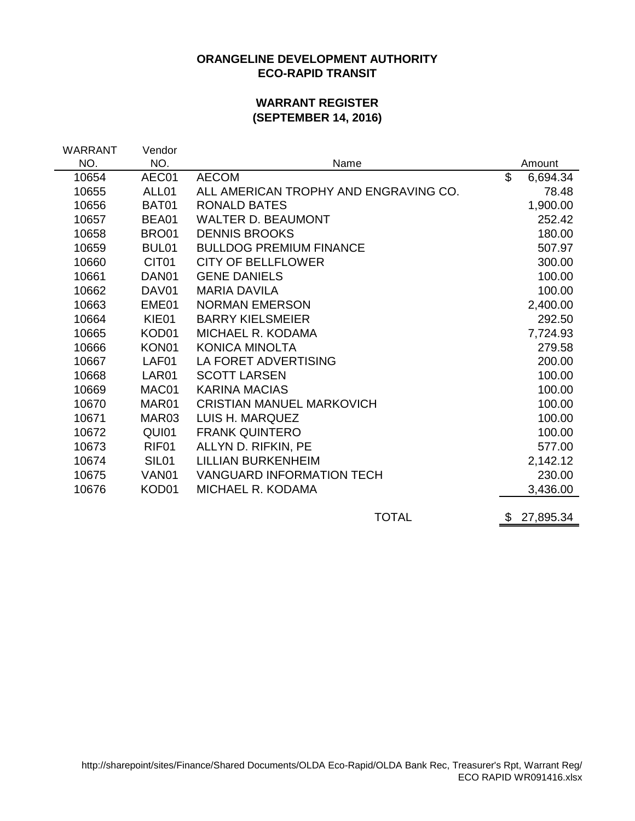## **ORANGELINE DEVELOPMENT AUTHORITY ECO-RAPID TRANSIT**

## **WARRANT REGISTER (SEPTEMBER 14, 2016)**

| WARRANT | Vendor            |                                       |                 |
|---------|-------------------|---------------------------------------|-----------------|
| NO.     | NO.               | Name                                  | Amount          |
| 10654   | AEC01             | <b>AECOM</b>                          | \$<br>6,694.34  |
| 10655   | ALL01             | ALL AMERICAN TROPHY AND ENGRAVING CO. | 78.48           |
| 10656   | BAT01             | <b>RONALD BATES</b>                   | 1,900.00        |
| 10657   | BEA01             | <b>WALTER D. BEAUMONT</b>             | 252.42          |
| 10658   | BRO01             | <b>DENNIS BROOKS</b>                  | 180.00          |
| 10659   | BUL01             | <b>BULLDOG PREMIUM FINANCE</b>        | 507.97          |
| 10660   | CIT <sub>01</sub> | <b>CITY OF BELLFLOWER</b>             | 300.00          |
| 10661   | DAN01             | <b>GENE DANIELS</b>                   | 100.00          |
| 10662   | DAV01             | <b>MARIA DAVILA</b>                   | 100.00          |
| 10663   | EME01             | <b>NORMAN EMERSON</b>                 | 2,400.00        |
| 10664   | KIE01             | <b>BARRY KIELSMEIER</b>               | 292.50          |
| 10665   | KOD01             | MICHAEL R. KODAMA                     | 7,724.93        |
| 10666   | KON01             | <b>KONICA MINOLTA</b>                 | 279.58          |
| 10667   | LAF01             | LA FORET ADVERTISING                  | 200.00          |
| 10668   | LAR01             | <b>SCOTT LARSEN</b>                   | 100.00          |
| 10669   | MAC01             | <b>KARINA MACIAS</b>                  | 100.00          |
| 10670   | MAR01             | <b>CRISTIAN MANUEL MARKOVICH</b>      | 100.00          |
| 10671   | MAR03             | LUIS H. MARQUEZ                       | 100.00          |
| 10672   | QUI01             | <b>FRANK QUINTERO</b>                 | 100.00          |
| 10673   | RIF01             | ALLYN D. RIFKIN, PE                   | 577.00          |
| 10674   | SIL <sub>01</sub> | <b>LILLIAN BURKENHEIM</b>             | 2,142.12        |
| 10675   | VAN <sub>01</sub> | <b>VANGUARD INFORMATION TECH</b>      | 230.00          |
| 10676   | KOD01             | MICHAEL R. KODAMA                     | 3,436.00        |
|         |                   | <b>TOTAL</b>                          | \$<br>27,895.34 |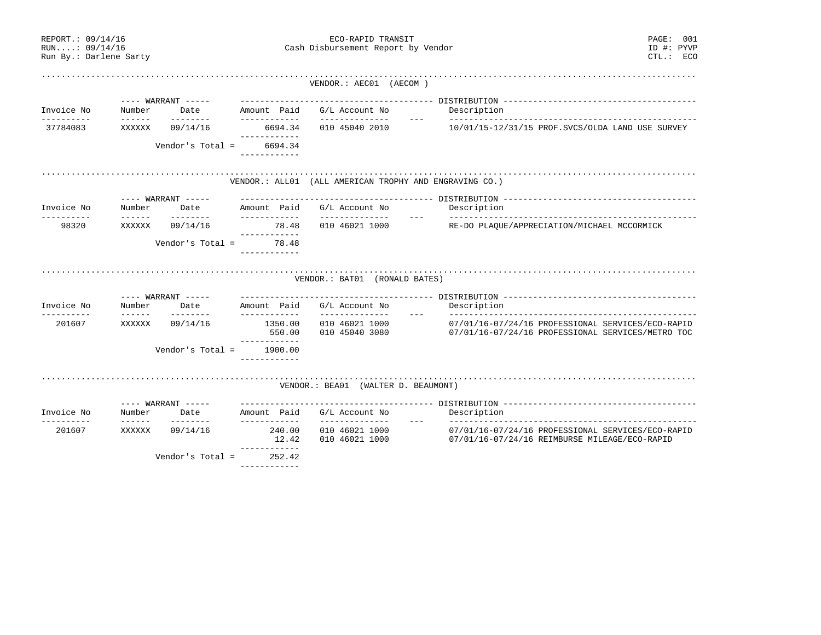| REPORT.: 09/14/16<br>RUN:: 09/14/16<br>Run By.: Darlene Sarty |                                                                                                                                                                                                                                                                                                                                                                                                        |                            |                                         | ECO-RAPID TRANSIT<br>Cash Disbursement Report by Vendor | PAGE: 001<br>ID #: PYVP<br>$CTL$ .: $ECO$                                                                               |
|---------------------------------------------------------------|--------------------------------------------------------------------------------------------------------------------------------------------------------------------------------------------------------------------------------------------------------------------------------------------------------------------------------------------------------------------------------------------------------|----------------------------|-----------------------------------------|---------------------------------------------------------|-------------------------------------------------------------------------------------------------------------------------|
|                                                               |                                                                                                                                                                                                                                                                                                                                                                                                        |                            |                                         | VENDOR.: AEC01 (AECOM)                                  |                                                                                                                         |
|                                                               |                                                                                                                                                                                                                                                                                                                                                                                                        | ---- WARRANT -----         |                                         |                                                         |                                                                                                                         |
| Invoice No<br>----------                                      | Number<br>$\frac{1}{2}$                                                                                                                                                                                                                                                                                                                                                                                | Date<br>--------           | Amount Paid<br>------------             | G/L Account No<br>--------------                        | Description                                                                                                             |
| 37784083                                                      | XXXXXX                                                                                                                                                                                                                                                                                                                                                                                                 | 09/14/16                   | 6694.34                                 | 010 45040 2010                                          | 10/01/15-12/31/15 PROF.SVCS/OLDA LAND USE SURVEY                                                                        |
|                                                               |                                                                                                                                                                                                                                                                                                                                                                                                        | Vendor's Total =           | ------------<br>6694.34<br>------------ |                                                         |                                                                                                                         |
|                                                               |                                                                                                                                                                                                                                                                                                                                                                                                        |                            |                                         | VENDOR.: ALL01 (ALL AMERICAN TROPHY AND ENGRAVING CO.)  |                                                                                                                         |
|                                                               |                                                                                                                                                                                                                                                                                                                                                                                                        | ---- WARRANT -----         |                                         |                                                         |                                                                                                                         |
| Invoice No                                                    | Number                                                                                                                                                                                                                                                                                                                                                                                                 | Date                       | Amount Paid<br>____________             | G/L Account No                                          | Description                                                                                                             |
| -----------<br>98320                                          | $\frac{1}{2} \frac{1}{2} \frac{1}{2} \frac{1}{2} \frac{1}{2} \frac{1}{2} \frac{1}{2} \frac{1}{2} \frac{1}{2} \frac{1}{2} \frac{1}{2} \frac{1}{2} \frac{1}{2} \frac{1}{2} \frac{1}{2} \frac{1}{2} \frac{1}{2} \frac{1}{2} \frac{1}{2} \frac{1}{2} \frac{1}{2} \frac{1}{2} \frac{1}{2} \frac{1}{2} \frac{1}{2} \frac{1}{2} \frac{1}{2} \frac{1}{2} \frac{1}{2} \frac{1}{2} \frac{1}{2} \frac{$<br>XXXXXX | ---------<br>09/14/16      | 78.48                                   | _______________<br>010 46021 1000                       | RE-DO PLAQUE/APPRECIATION/MICHAEL MCCORMICK                                                                             |
|                                                               |                                                                                                                                                                                                                                                                                                                                                                                                        | Vendor's Total =           | ------------<br>78.48<br>------------   |                                                         |                                                                                                                         |
| Invoice No                                                    | Number                                                                                                                                                                                                                                                                                                                                                                                                 | ---- WARRANT -----<br>Date | Amount Paid                             | VENDOR.: BAT01 (RONALD BATES)<br>G/L Account No         | Description                                                                                                             |
| 201607                                                        | $- - - - - - -$<br>XXXXXX                                                                                                                                                                                                                                                                                                                                                                              | --------<br>09/14/16       | ____________<br>1350.00<br>550.00       | ______________<br>010 46021 1000<br>010 45040 3080      | $\frac{1}{2}$<br>07/01/16-07/24/16 PROFESSIONAL SERVICES/ECO-RAPID<br>07/01/16-07/24/16 PROFESSIONAL SERVICES/METRO TOC |
|                                                               |                                                                                                                                                                                                                                                                                                                                                                                                        | Vendor's Total =           | ------------<br>1900.00<br>------------ |                                                         |                                                                                                                         |
|                                                               |                                                                                                                                                                                                                                                                                                                                                                                                        |                            |                                         | VENDOR.: BEA01 (WALTER D. BEAUMONT)                     |                                                                                                                         |
|                                                               |                                                                                                                                                                                                                                                                                                                                                                                                        | ---- WARRANT -----         |                                         |                                                         |                                                                                                                         |
| Invoice No<br>---------                                       | Number<br>$- - - - - - -$                                                                                                                                                                                                                                                                                                                                                                              | Date<br>--------           | Amount Paid<br>------------             | G/L Account No<br>______________                        | Description<br>$  -$                                                                                                    |
| 201607                                                        | XXXXXX                                                                                                                                                                                                                                                                                                                                                                                                 | 09/14/16                   | 240.00<br>12.42<br>____________         | 010 46021 1000<br>010 46021 1000                        | 07/01/16-07/24/16 PROFESSIONAL SERVICES/ECO-RAPID<br>$07/01/16 - 07/24/16$ REIMBURSE MILEAGE/ECO-RAPID                  |
|                                                               |                                                                                                                                                                                                                                                                                                                                                                                                        | Vendor's Total =           | 252.42<br>------------                  |                                                         |                                                                                                                         |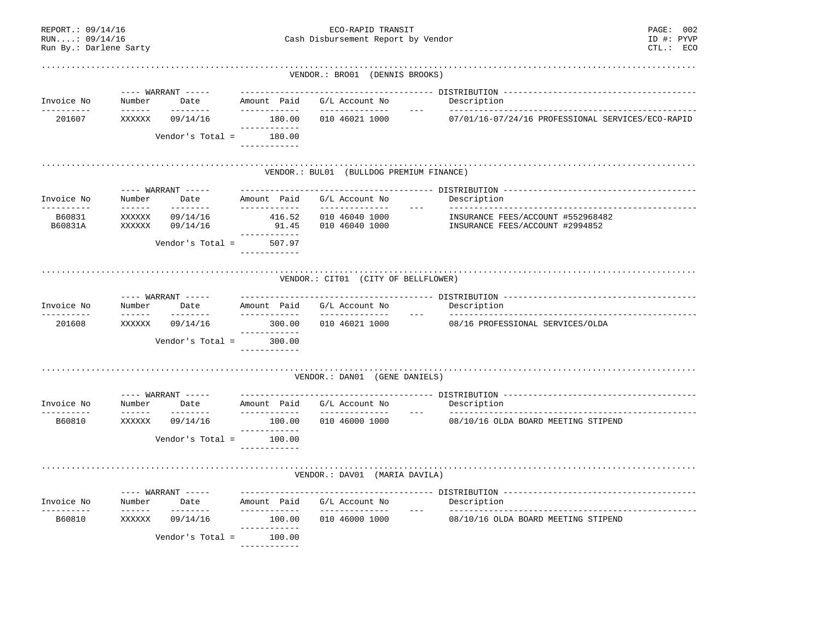| REPORT.: 09/14/16<br>RUN: 09/14/16<br>Run By.: Darlene Sarty |                                                                                                                                                                                                                                                                                                                                                                                                                                                                                                  |                                                 |                                        | PAGE: 002<br>ID #: PYVP<br>Cash Disbursement Report by Vendor<br>CTL.: ECO |                                                                                                                                                                                                                                                                                                                                                                                                             |
|--------------------------------------------------------------|--------------------------------------------------------------------------------------------------------------------------------------------------------------------------------------------------------------------------------------------------------------------------------------------------------------------------------------------------------------------------------------------------------------------------------------------------------------------------------------------------|-------------------------------------------------|----------------------------------------|----------------------------------------------------------------------------|-------------------------------------------------------------------------------------------------------------------------------------------------------------------------------------------------------------------------------------------------------------------------------------------------------------------------------------------------------------------------------------------------------------|
|                                                              |                                                                                                                                                                                                                                                                                                                                                                                                                                                                                                  |                                                 |                                        | VENDOR.: BRO01 (DENNIS BROOKS)                                             |                                                                                                                                                                                                                                                                                                                                                                                                             |
| Invoice No                                                   | Number                                                                                                                                                                                                                                                                                                                                                                                                                                                                                           | ---- WARRANT -----<br>Date                      | Amount Paid                            | G/L Account No                                                             | Description                                                                                                                                                                                                                                                                                                                                                                                                 |
| ----------<br>201607                                         | $- - - - - - -$<br>XXXXXX                                                                                                                                                                                                                                                                                                                                                                                                                                                                        | ---------<br>09/14/16                           | ------------<br>180.00                 | --------------<br>010 46021 1000                                           | $\frac{1}{2}$<br>07/01/16-07/24/16 PROFESSIONAL SERVICES/ECO-RAPID                                                                                                                                                                                                                                                                                                                                          |
|                                                              |                                                                                                                                                                                                                                                                                                                                                                                                                                                                                                  | Vendor's Total =                                | ------------<br>180.00<br>------------ |                                                                            |                                                                                                                                                                                                                                                                                                                                                                                                             |
|                                                              |                                                                                                                                                                                                                                                                                                                                                                                                                                                                                                  |                                                 |                                        | VENDOR.: BUL01 (BULLDOG PREMIUM FINANCE)                                   |                                                                                                                                                                                                                                                                                                                                                                                                             |
| Invoice No<br>----------                                     | Number<br>$- - - - - - -$                                                                                                                                                                                                                                                                                                                                                                                                                                                                        | ---- WARRANT -----<br>Date<br>$- - - - - - - -$ | Amount Paid<br>____________            | G/L Account No<br>______________                                           | Description<br>$\frac{1}{2}$                                                                                                                                                                                                                                                                                                                                                                                |
| B60831<br>B60831A                                            | XXXXXX<br>XXXXXX                                                                                                                                                                                                                                                                                                                                                                                                                                                                                 | 09/14/16<br>09/14/16                            | 416.52<br>91.45<br>-------------       | 010 46040 1000<br>010 46040 1000                                           | INSURANCE FEES/ACCOUNT #552968482<br>INSURANCE FEES/ACCOUNT #2994852                                                                                                                                                                                                                                                                                                                                        |
|                                                              |                                                                                                                                                                                                                                                                                                                                                                                                                                                                                                  | Vendor's Total =                                | 507.97<br>------------                 |                                                                            |                                                                                                                                                                                                                                                                                                                                                                                                             |
| Invoice No<br>----------                                     | Number<br>$\begin{array}{cccccccccc} \multicolumn{2}{c}{} & \multicolumn{2}{c}{} & \multicolumn{2}{c}{} & \multicolumn{2}{c}{} & \multicolumn{2}{c}{} & \multicolumn{2}{c}{} & \multicolumn{2}{c}{} & \multicolumn{2}{c}{} & \multicolumn{2}{c}{} & \multicolumn{2}{c}{} & \multicolumn{2}{c}{} & \multicolumn{2}{c}{} & \multicolumn{2}{c}{} & \multicolumn{2}{c}{} & \multicolumn{2}{c}{} & \multicolumn{2}{c}{} & \multicolumn{2}{c}{} & \multicolumn{2}{c}{} & \multicolumn{2}{c}{} & \mult$ | ---- WARRANT -----<br>Date<br>--------          | Amount Paid<br>------------            | VENDOR.: CIT01 (CITY OF BELLFLOWER)<br>G/L Account No<br>_______________   | Description<br>$\frac{1}{2} \frac{1}{2} \frac{1}{2} \frac{1}{2} \frac{1}{2} \frac{1}{2} \frac{1}{2} \frac{1}{2} \frac{1}{2} \frac{1}{2} \frac{1}{2} \frac{1}{2} \frac{1}{2} \frac{1}{2} \frac{1}{2} \frac{1}{2} \frac{1}{2} \frac{1}{2} \frac{1}{2} \frac{1}{2} \frac{1}{2} \frac{1}{2} \frac{1}{2} \frac{1}{2} \frac{1}{2} \frac{1}{2} \frac{1}{2} \frac{1}{2} \frac{1}{2} \frac{1}{2} \frac{1}{2} \frac{$ |
| 201608                                                       | XXXXXX                                                                                                                                                                                                                                                                                                                                                                                                                                                                                           | 09/14/16                                        | 300.00                                 | 010 46021 1000                                                             | 08/16 PROFESSIONAL SERVICES/OLDA                                                                                                                                                                                                                                                                                                                                                                            |
|                                                              |                                                                                                                                                                                                                                                                                                                                                                                                                                                                                                  | Vendor's Total =                                | ------------<br>300.00<br>____________ |                                                                            |                                                                                                                                                                                                                                                                                                                                                                                                             |
|                                                              |                                                                                                                                                                                                                                                                                                                                                                                                                                                                                                  |                                                 |                                        | VENDOR.: DAN01 (GENE DANIELS)                                              |                                                                                                                                                                                                                                                                                                                                                                                                             |
|                                                              |                                                                                                                                                                                                                                                                                                                                                                                                                                                                                                  | ---- WARRANT -----                              |                                        |                                                                            |                                                                                                                                                                                                                                                                                                                                                                                                             |
| Invoice No<br>__________                                     | Number                                                                                                                                                                                                                                                                                                                                                                                                                                                                                           | Date<br>---------                               | Amount Paid<br>------------            | G/L Account No<br>--------------                                           | Description<br>$\frac{1}{2}$                                                                                                                                                                                                                                                                                                                                                                                |
| B60810                                                       | XXXXXX                                                                                                                                                                                                                                                                                                                                                                                                                                                                                           | 09/14/16                                        | 100.00<br>____________                 | 010 46000 1000                                                             | 08/10/16 OLDA BOARD MEETING STIPEND                                                                                                                                                                                                                                                                                                                                                                         |
|                                                              |                                                                                                                                                                                                                                                                                                                                                                                                                                                                                                  | Vendor's Total =                                | 100.00<br>------------                 |                                                                            |                                                                                                                                                                                                                                                                                                                                                                                                             |
|                                                              |                                                                                                                                                                                                                                                                                                                                                                                                                                                                                                  |                                                 |                                        | VENDOR.: DAV01 (MARIA DAVILA)                                              |                                                                                                                                                                                                                                                                                                                                                                                                             |
| Invoice No<br>---------                                      | Number                                                                                                                                                                                                                                                                                                                                                                                                                                                                                           | ---- WARRANT -----<br>Date<br>--------          | Amount Paid<br>------------            | G/L Account No<br>_______________                                          | Description<br>$- - - -$                                                                                                                                                                                                                                                                                                                                                                                    |
| B60810                                                       | XXXXXX                                                                                                                                                                                                                                                                                                                                                                                                                                                                                           | 09/14/16                                        | 100.00<br>------------                 | 010 46000 1000                                                             | 08/10/16 OLDA BOARD MEETING STIPEND                                                                                                                                                                                                                                                                                                                                                                         |
|                                                              |                                                                                                                                                                                                                                                                                                                                                                                                                                                                                                  | Vendor's Total =                                | 100.00<br>------------                 |                                                                            |                                                                                                                                                                                                                                                                                                                                                                                                             |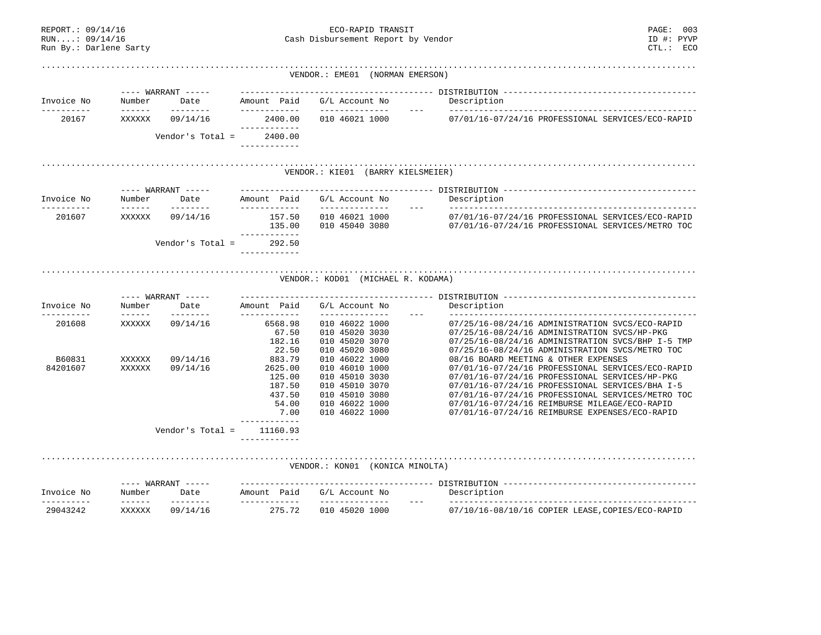| RUN: 09/14/16<br>Run By.: Darlene Sarty |                           |                            |                                        | Cash Disbursement Report by Vendor                 | ID #: PYVP<br>$CTL$ .: $ECO$                                                                           |
|-----------------------------------------|---------------------------|----------------------------|----------------------------------------|----------------------------------------------------|--------------------------------------------------------------------------------------------------------|
|                                         |                           |                            |                                        | VENDOR.: EME01 (NORMAN EMERSON)                    |                                                                                                        |
|                                         |                           | $---$ WARRANT $---$        |                                        |                                                    |                                                                                                        |
| Invoice No                              | Number                    | Date                       | Amount Paid                            | G/L Account No                                     | Description                                                                                            |
| ----------<br>20167                     | $- - - - - - -$<br>XXXXXX | --------<br>09/14/16       | ------------<br>2400.00                | --------------<br>010 46021 1000                   | 07/01/16-07/24/16 PROFESSIONAL SERVICES/ECO-RAPID                                                      |
|                                         |                           | Vendor's Total =           | -----------<br>2400.00<br>------------ |                                                    |                                                                                                        |
|                                         |                           |                            |                                        | VENDOR.: KIE01 (BARRY KIELSMEIER)                  |                                                                                                        |
|                                         |                           | ---- WARRANT -----         |                                        |                                                    |                                                                                                        |
| Invoice No                              | Number                    | Date                       | Amount Paid                            | G/L Account No                                     | Description                                                                                            |
| 201607                                  | ------<br>XXXXXX          | --------<br>09/14/16       | ------------<br>157.50<br>135.00       | --------------<br>010 46021 1000<br>010 45040 3080 | 07/01/16-07/24/16 PROFESSIONAL SERVICES/ECO-RAPID<br>07/01/16-07/24/16 PROFESSIONAL SERVICES/METRO TOC |
|                                         |                           | Vendor's Total =           | -----------<br>292.50<br>------------  |                                                    |                                                                                                        |
| Invoice No                              | Number                    | ---- WARRANT -----<br>Date | Amount Paid                            | G/L Account No                                     | Description                                                                                            |
| 201608                                  | XXXXXX                    | --------<br>09/14/16       | ------------<br>6568.98                | ______________<br>010 46022 1000                   | 07/25/16-08/24/16 ADMINISTRATION SVCS/ECO-RAPID                                                        |
|                                         |                           |                            | 67.50                                  | 010 45020 3030                                     | 07/25/16-08/24/16 ADMINISTRATION SVCS/HP-PKG                                                           |
|                                         |                           |                            | 182.16                                 | 010 45020 3070                                     | 07/25/16-08/24/16 ADMINISTRATION SVCS/BHP I-5 TMP                                                      |
| B60831                                  | XXXXXX                    | 09/14/16                   | 22.50<br>883.79                        | 010 45020 3080<br>010 46022 1000                   | 07/25/16-08/24/16 ADMINISTRATION SVCS/METRO TOC<br>08/16 BOARD MEETING & OTHER EXPENSES                |
| 84201607                                | XXXXXX                    | 09/14/16                   | 2625.00                                | 010 46010 1000                                     | 07/01/16-07/24/16 PROFESSIONAL SERVICES/ECO-RAPID                                                      |
|                                         |                           |                            | 125.00                                 | 010 45010 3030                                     | 07/01/16-07/24/16 PROFESSIONAL SERVICES/HP-PKG                                                         |
|                                         |                           |                            | 187.50                                 | 010 45010 3070                                     | 07/01/16-07/24/16 PROFESSIONAL SERVICES/BHA I-5                                                        |
|                                         |                           |                            | 437.50                                 | 010 45010 3080                                     | 07/01/16-07/24/16 PROFESSIONAL SERVICES/METRO TOC                                                      |
|                                         |                           |                            | 54.00<br>7.00                          | 010 46022 1000<br>010 46022 1000                   | 07/01/16-07/24/16 REIMBURSE MILEAGE/ECO-RAPID<br>07/01/16-07/24/16 REIMBURSE EXPENSES/ECO-RAPID        |
|                                         |                           | Vendor's Total =           | . <u>.</u><br>11160.93                 |                                                    |                                                                                                        |
|                                         |                           |                            |                                        | VENDOR.: KON01 (KONICA MINOLTA)                    |                                                                                                        |
|                                         |                           | ---- WARRANT -----         |                                        |                                                    |                                                                                                        |
| Invoice No                              | Number<br>$- - - - - - -$ | Date<br>--------           | Amount Paid<br>------------            | G/L Account No<br>______________                   | Description<br>_______________________________                                                         |
| 29043242                                | XXXXXX                    | 09/14/16                   | 275.72                                 | 010 45020 1000                                     | 07/10/16-08/10/16 COPIER LEASE, COPIES/ECO-RAPID                                                       |

REPORT.: 09/14/16 ECO-RAPID TRANSIT PAGE: 003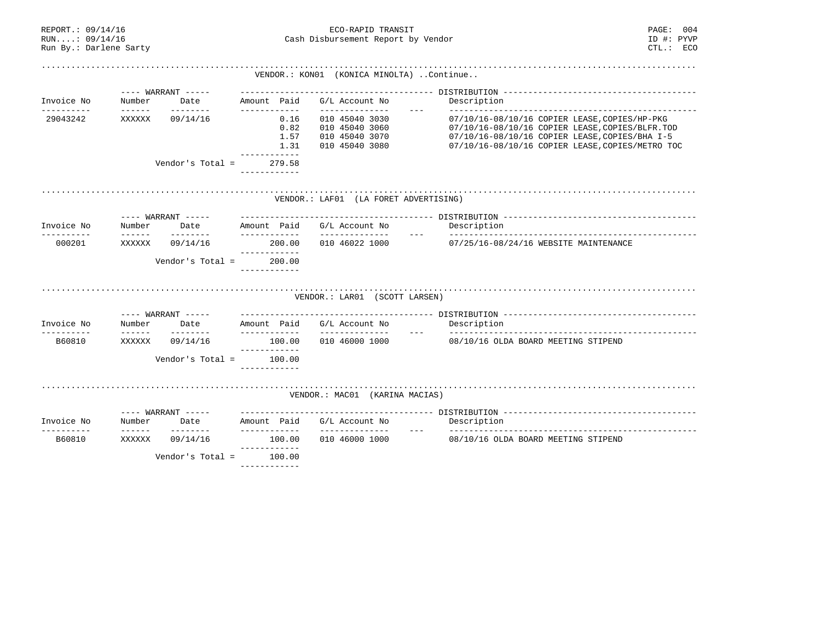| REPORT.: 09/14/16<br>RUN: 09/14/16<br>Run By.: Darlene Sarty |                           |                            |                                        | ECO-RAPID TRANSIT<br>Cash Disbursement Report by Vendor | PAGE: 004<br>ID #: PYVP<br>CTL: ECO                                                                |  |
|--------------------------------------------------------------|---------------------------|----------------------------|----------------------------------------|---------------------------------------------------------|----------------------------------------------------------------------------------------------------|--|
|                                                              |                           |                            |                                        | VENDOR.: KON01 (KONICA MINOLTA) Continue                |                                                                                                    |  |
|                                                              |                           | ---- WARRANT -----         |                                        |                                                         |                                                                                                    |  |
| Invoice No<br>-----------                                    | Number                    | ---------                  | Date Amount Paid<br>------------       | G/L Account No<br>_______________                       | Description                                                                                        |  |
| 29043242                                                     | XXXXXX                    | 09/14/16                   | 0.16<br>0.82                           | 010 45040 3030<br>010 45040 3060                        | 07/10/16-08/10/16 COPIER LEASE, COPIES/HP-PKG<br>07/10/16-08/10/16 COPIER LEASE, COPIES/BLFR. TOD  |  |
|                                                              |                           |                            | 1.57<br>1.31                           | 010 45040 3070<br>010 45040 3080                        | 07/10/16-08/10/16 COPIER LEASE, COPIES/BHA I-5<br>07/10/16-08/10/16 COPIER LEASE, COPIES/METRO TOC |  |
|                                                              |                           |                            | ------------                           |                                                         |                                                                                                    |  |
|                                                              |                           | Vendor's Total =           | 279.58<br>____________                 |                                                         |                                                                                                    |  |
|                                                              |                           | ---- WARRANT -----         |                                        | VENDOR.: LAF01 (LA FORET ADVERTISING)                   |                                                                                                    |  |
| Invoice No                                                   | Number                    |                            |                                        | G/L Account No                                          | Description                                                                                        |  |
| ----------<br>000201                                         | $\frac{1}{2}$<br>XXXXXX   | ---------<br>09/14/16      | -------------                          |                                                         | 07/25/16-08/24/16 WEBSITE MAINTENANCE                                                              |  |
|                                                              |                           | Vendor's Total =           | ------------<br>200.00<br>____________ |                                                         |                                                                                                    |  |
|                                                              |                           |                            |                                        | VENDOR.: LAR01 (SCOTT LARSEN)                           |                                                                                                    |  |
| Invoice No                                                   | Number                    | ---- WARRANT -----<br>Date |                                        |                                                         |                                                                                                    |  |
| -----------                                                  | $\frac{1}{2}$             | ---------                  | Amount Paid                            | G/L Account No                                          | Description                                                                                        |  |
| B60810                                                       | XXXXXX                    | 09/14/16                   | 100.00<br>-------------                |                                                         | 010 46000 1000 08/10/16 OLDA BOARD MEETING STIPEND                                                 |  |
|                                                              |                           |                            | Vendor's Total = $100.00$              |                                                         |                                                                                                    |  |
|                                                              |                           |                            |                                        | VENDOR.: MAC01 (KARINA MACIAS)                          |                                                                                                    |  |
|                                                              |                           |                            |                                        |                                                         |                                                                                                    |  |
| Invoice No<br>________                                       | Number<br>$- - - - - - -$ | ---------                  | ____________                           | Date Amount Paid G/L Account No<br>_______________      | Description                                                                                        |  |
| B60810                                                       | XXXXXX                    | 09/14/16                   | 100.00<br>------------                 | 010 46000 1000                                          | 08/10/16 OLDA BOARD MEETING STIPEND                                                                |  |
|                                                              |                           |                            | Vendor's Total = $100.00$              |                                                         |                                                                                                    |  |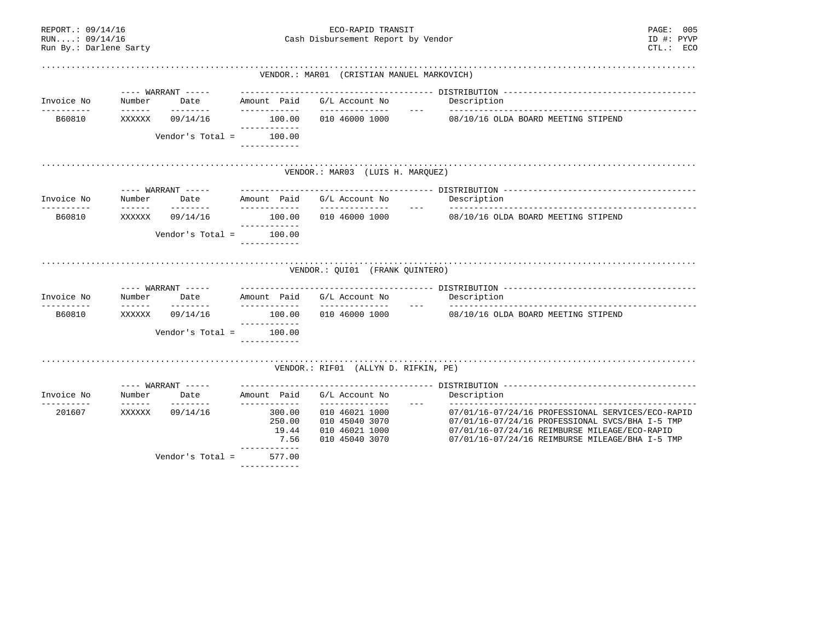| REPORT.: 09/14/16<br>RUN: 09/14/16<br>Run By.: Darlene Sarty |                                                                                                                                                                                                                                                                                                                                                                                                                                                                                                  |                                                                                                                                                                                                                                                                                                                                                                                                                                                                                                    |                                                   | ECO-RAPID TRANSIT<br>Cash Disbursement Report by Vendor                                | PAGE: 005<br>ID #: PYVP<br>$CTL$ .: $ECO$                                                                                                                                                                |
|--------------------------------------------------------------|--------------------------------------------------------------------------------------------------------------------------------------------------------------------------------------------------------------------------------------------------------------------------------------------------------------------------------------------------------------------------------------------------------------------------------------------------------------------------------------------------|----------------------------------------------------------------------------------------------------------------------------------------------------------------------------------------------------------------------------------------------------------------------------------------------------------------------------------------------------------------------------------------------------------------------------------------------------------------------------------------------------|---------------------------------------------------|----------------------------------------------------------------------------------------|----------------------------------------------------------------------------------------------------------------------------------------------------------------------------------------------------------|
|                                                              |                                                                                                                                                                                                                                                                                                                                                                                                                                                                                                  |                                                                                                                                                                                                                                                                                                                                                                                                                                                                                                    |                                                   | VENDOR.: MAR01 (CRISTIAN MANUEL MARKOVICH)                                             |                                                                                                                                                                                                          |
|                                                              |                                                                                                                                                                                                                                                                                                                                                                                                                                                                                                  | $---$ WARRANT $---$                                                                                                                                                                                                                                                                                                                                                                                                                                                                                |                                                   |                                                                                        |                                                                                                                                                                                                          |
| Invoice No<br>__________                                     | Number<br>$- - - - - - -$                                                                                                                                                                                                                                                                                                                                                                                                                                                                        | Date<br>--------                                                                                                                                                                                                                                                                                                                                                                                                                                                                                   | Amount Paid<br>------------                       | G/L Account No<br>______________                                                       | Description                                                                                                                                                                                              |
| B60810                                                       | XXXXXX                                                                                                                                                                                                                                                                                                                                                                                                                                                                                           | 09/14/16                                                                                                                                                                                                                                                                                                                                                                                                                                                                                           | 100.00<br>------------                            | 010 46000 1000                                                                         | 08/10/16 OLDA BOARD MEETING STIPEND                                                                                                                                                                      |
|                                                              |                                                                                                                                                                                                                                                                                                                                                                                                                                                                                                  | Vendor's Total =                                                                                                                                                                                                                                                                                                                                                                                                                                                                                   | 100.00<br>------------                            |                                                                                        |                                                                                                                                                                                                          |
|                                                              |                                                                                                                                                                                                                                                                                                                                                                                                                                                                                                  |                                                                                                                                                                                                                                                                                                                                                                                                                                                                                                    |                                                   | VENDOR.: MAR03 (LUIS H. MARQUEZ)                                                       |                                                                                                                                                                                                          |
|                                                              |                                                                                                                                                                                                                                                                                                                                                                                                                                                                                                  | ---- WARRANT -----                                                                                                                                                                                                                                                                                                                                                                                                                                                                                 |                                                   |                                                                                        |                                                                                                                                                                                                          |
| Invoice No<br>-----------                                    | Number<br>$\begin{array}{cccccccccc} \multicolumn{2}{c}{} & \multicolumn{2}{c}{} & \multicolumn{2}{c}{} & \multicolumn{2}{c}{} & \multicolumn{2}{c}{} & \multicolumn{2}{c}{} & \multicolumn{2}{c}{} & \multicolumn{2}{c}{} & \multicolumn{2}{c}{} & \multicolumn{2}{c}{} & \multicolumn{2}{c}{} & \multicolumn{2}{c}{} & \multicolumn{2}{c}{} & \multicolumn{2}{c}{} & \multicolumn{2}{c}{} & \multicolumn{2}{c}{} & \multicolumn{2}{c}{} & \multicolumn{2}{c}{} & \multicolumn{2}{c}{} & \mult$ | Date<br>--------                                                                                                                                                                                                                                                                                                                                                                                                                                                                                   | Amount Paid<br>------------                       | G/L Account No<br>______________                                                       | Description                                                                                                                                                                                              |
| B60810                                                       | XXXXXX                                                                                                                                                                                                                                                                                                                                                                                                                                                                                           | 09/14/16                                                                                                                                                                                                                                                                                                                                                                                                                                                                                           | 100.00<br>------------                            | 010 46000 1000                                                                         | 08/10/16 OLDA BOARD MEETING STIPEND                                                                                                                                                                      |
|                                                              |                                                                                                                                                                                                                                                                                                                                                                                                                                                                                                  | Vendor's Total =                                                                                                                                                                                                                                                                                                                                                                                                                                                                                   | 100.00<br>------------                            |                                                                                        |                                                                                                                                                                                                          |
| Invoice No                                                   | Number                                                                                                                                                                                                                                                                                                                                                                                                                                                                                           | $---$ WARRANT $---$<br>Date                                                                                                                                                                                                                                                                                                                                                                                                                                                                        | Amount Paid                                       | VENDOR.: QUI01 (FRANK QUINTERO)<br>G/L Account No                                      | Description                                                                                                                                                                                              |
| ----------<br>B60810                                         | $\begin{array}{cccccccccc} \multicolumn{2}{c}{} & \multicolumn{2}{c}{} & \multicolumn{2}{c}{} & \multicolumn{2}{c}{} & \multicolumn{2}{c}{} & \multicolumn{2}{c}{} & \multicolumn{2}{c}{} & \multicolumn{2}{c}{} & \multicolumn{2}{c}{} & \multicolumn{2}{c}{} & \multicolumn{2}{c}{} & \multicolumn{2}{c}{} & \multicolumn{2}{c}{} & \multicolumn{2}{c}{} & \multicolumn{2}{c}{} & \multicolumn{2}{c}{} & \multicolumn{2}{c}{} & \multicolumn{2}{c}{} & \multicolumn{2}{c}{} & \mult$<br>XXXXXX | $\begin{array}{cccccccccc} \multicolumn{2}{c}{} & \multicolumn{2}{c}{} & \multicolumn{2}{c}{} & \multicolumn{2}{c}{} & \multicolumn{2}{c}{} & \multicolumn{2}{c}{} & \multicolumn{2}{c}{} & \multicolumn{2}{c}{} & \multicolumn{2}{c}{} & \multicolumn{2}{c}{} & \multicolumn{2}{c}{} & \multicolumn{2}{c}{} & \multicolumn{2}{c}{} & \multicolumn{2}{c}{} & \multicolumn{2}{c}{} & \multicolumn{2}{c}{} & \multicolumn{2}{c}{} & \multicolumn{2}{c}{} & \multicolumn{2}{c}{} & \mult$<br>09/14/16 | ____________<br>100.00                            | _______________<br>$\frac{1}{2}$<br>010 46000 1000                                     | 08/10/16 OLDA BOARD MEETING STIPEND                                                                                                                                                                      |
|                                                              |                                                                                                                                                                                                                                                                                                                                                                                                                                                                                                  |                                                                                                                                                                                                                                                                                                                                                                                                                                                                                                    | ------------                                      |                                                                                        |                                                                                                                                                                                                          |
|                                                              |                                                                                                                                                                                                                                                                                                                                                                                                                                                                                                  | Vendor's Total =                                                                                                                                                                                                                                                                                                                                                                                                                                                                                   | 100.00<br>____________                            |                                                                                        |                                                                                                                                                                                                          |
|                                                              |                                                                                                                                                                                                                                                                                                                                                                                                                                                                                                  |                                                                                                                                                                                                                                                                                                                                                                                                                                                                                                    |                                                   | VENDOR.: RIF01 (ALLYN D. RIFKIN, PE)                                                   |                                                                                                                                                                                                          |
|                                                              |                                                                                                                                                                                                                                                                                                                                                                                                                                                                                                  | $---$ WARRANT $---$                                                                                                                                                                                                                                                                                                                                                                                                                                                                                |                                                   |                                                                                        |                                                                                                                                                                                                          |
| Invoice No                                                   | Number                                                                                                                                                                                                                                                                                                                                                                                                                                                                                           | Date                                                                                                                                                                                                                                                                                                                                                                                                                                                                                               | Amount Paid                                       | G/L Account No                                                                         | Description                                                                                                                                                                                              |
| ----------<br>201607                                         | XXXXXX                                                                                                                                                                                                                                                                                                                                                                                                                                                                                           | ---------<br>09/14/16                                                                                                                                                                                                                                                                                                                                                                                                                                                                              | ------------<br>300.00<br>250.00<br>19.44<br>7.56 | ______________<br>010 46021 1000<br>010 45040 3070<br>010 46021 1000<br>010 45040 3070 | 07/01/16-07/24/16 PROFESSIONAL SERVICES/ECO-RAPID<br>07/01/16-07/24/16 PROFESSIONAL SVCS/BHA I-5 TMP<br>07/01/16-07/24/16 REIMBURSE MILEAGE/ECO-RAPID<br>07/01/16-07/24/16 REIMBURSE MILEAGE/BHA I-5 TMP |
|                                                              |                                                                                                                                                                                                                                                                                                                                                                                                                                                                                                  | Vendor's Total $=$                                                                                                                                                                                                                                                                                                                                                                                                                                                                                 | 577.00<br>____________                            |                                                                                        |                                                                                                                                                                                                          |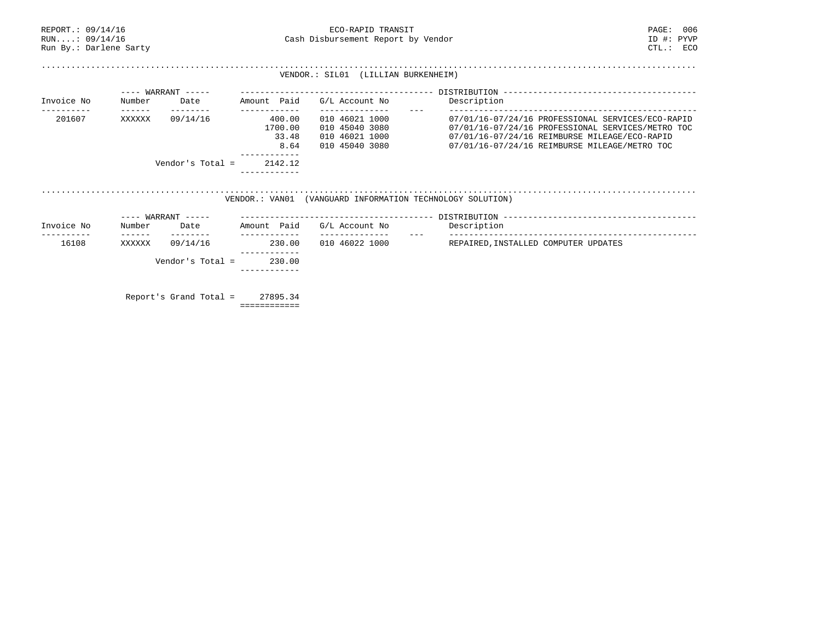| REPORT.: 09/14/16<br>RUN: 09/14/16<br>Run By.: Darlene Sarty |                           |                               |                                                    | ECO-RAPID TRANSIT<br>Cash Disbursement Report by Vendor                                | PAGE:<br>ID #: PYVP<br>CTL: ECO                                                                                                                                                                          | 006 |
|--------------------------------------------------------------|---------------------------|-------------------------------|----------------------------------------------------|----------------------------------------------------------------------------------------|----------------------------------------------------------------------------------------------------------------------------------------------------------------------------------------------------------|-----|
|                                                              |                           |                               |                                                    | VENDOR.: SIL01 (LILLIAN BURKENHEIM)                                                    |                                                                                                                                                                                                          |     |
|                                                              |                           | $---$ WARRANT $---$           |                                                    |                                                                                        |                                                                                                                                                                                                          |     |
| Invoice No                                                   | Number                    | Date                          | Amount Paid                                        | G/L Account No                                                                         | Description                                                                                                                                                                                              |     |
| 201607                                                       | $- - - - - - -$<br>XXXXXX | $- - - - - - - -$<br>09/14/16 | ------------<br>400.00<br>1700.00<br>33.48<br>8.64 | --------------<br>010 46021 1000<br>010 45040 3080<br>010 46021 1000<br>010 45040 3080 | 07/01/16-07/24/16 PROFESSIONAL SERVICES/ECO-RAPID<br>07/01/16-07/24/16 PROFESSIONAL SERVICES/METRO TOC<br>07/01/16-07/24/16 REIMBURSE MILEAGE/ECO-RAPID<br>07/01/16-07/24/16 REIMBURSE MILEAGE/METRO TOC |     |
|                                                              |                           | Vendor's Total =              | 2142.12                                            |                                                                                        |                                                                                                                                                                                                          |     |
|                                                              |                           |                               | VENDOR.: VAN01                                     | (VANGUARD INFORMATION TECHNOLOGY SOLUTION)                                             |                                                                                                                                                                                                          |     |
|                                                              |                           | $---$ WARRANT $---$           |                                                    |                                                                                        |                                                                                                                                                                                                          |     |
| Invoice No                                                   | Number<br>$- - - - - - -$ | Date<br>---------             | Amount Paid<br>------------                        | G/L Account No<br>--------------                                                       | Description                                                                                                                                                                                              |     |
| 16108                                                        | XXXXXX                    | 09/14/16                      | 230.00                                             | 010 46022 1000                                                                         | REPAIRED, INSTALLED COMPUTER UPDATES                                                                                                                                                                     |     |
|                                                              |                           | Vendor's Total =              | 230.00                                             |                                                                                        |                                                                                                                                                                                                          |     |
|                                                              |                           | Report's Grand Total =        | 27895.34<br>============                           |                                                                                        |                                                                                                                                                                                                          |     |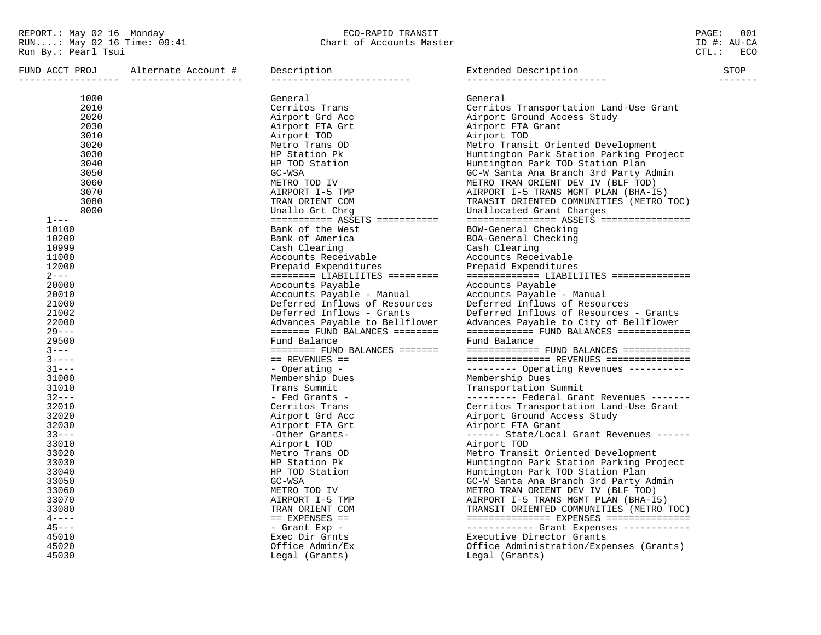| 1000<br>General<br>General<br>2010<br>Cerritos Trans<br>Cerritos Transportation Land-Use Grant<br>2020<br>Airport Grd Acc<br>Airport Ground Access Study<br>2030<br>Airport FTA Grant<br>Airport FTA Grt<br>3010<br>Airport TOD<br>Airport TOD<br>3020<br>Metro Transit Oriented Development<br>Metro Trans OD<br>3030<br>Huntington Park Station Parking Project<br>HP Station Pk<br>3040<br>HP TOD Station<br>Huntington Park TOD Station Plan<br>3050<br>GC-W Santa Ana Branch 3rd Party Admin<br>GC-WSA<br>3060<br>METRO TOD IV<br>METRO TRAN ORIENT DEV IV (BLF TOD)<br>3070<br>AIRPORT I-5 TMP<br>AIRPORT I-5 TRANS MGMT PLAN (BHA-I5)<br>3080<br>TRAN ORIENT COM<br>TRANSIT ORIENTED COMMUNITIES (METRO TOC)<br>8000<br>Unallo Grt Chrq<br>Unallocated Grant Charges<br>$=$ ========== ASSETS ===========<br>================ ASSETS ================<br>$1 - - -$<br>10100<br>Bank of the West<br>BOW-General Checking<br>10200<br>Bank of America<br>BOA-General Checking<br>10999<br>Cash Clearing<br>Cash Clearing<br>11000<br>Accounts Receivable<br>Accounts Receivable<br>12000<br>Prepaid Expenditures<br>Prepaid Expenditures<br>$2 - - -$<br>$\texttt{-----}$ LIABILIITES $\texttt{-----}$<br>20000<br>Accounts Payable<br>Accounts Payable<br>20010<br>Accounts Payable - Manual<br>Accounts Payable - Manual<br>21000<br>Deferred Inflows of Resources<br>Deferred Inflows of Resources<br>21002<br>Deferred Inflows - Grants<br>Deferred Inflows of Resources - Grants<br>22000<br>Advances Payable to City of Bellflower<br>Advances Payable to Bellflower<br>$29 - - -$<br>$======$ FUND BALANCES ========<br>$========= = FUND BALANCES$ ============<br>29500<br>Fund Balance<br>Fund Balance<br>$3 - - -$<br>$======$ FUND BALANCES =======<br>$=$ ============= FUND BALANCES ============<br>$3 - - - -$<br>$==$ REVENUES $==$<br>=============== REVENUES ===============<br>$31--$<br>--------- Operating Revenues ----------<br>- Operating -<br>Membership Dues<br>Membership Dues<br>31000<br>31010<br>Trans Summit<br>Transportation Summit<br>$32--$<br>- Fed Grants -<br>--------- Federal Grant Revenues -------<br>32010<br>Cerritos Trans<br>Cerritos Transportation Land-Use Grant<br>32020<br>Airport Ground Access Study<br>Airport Grd Acc<br>32030<br>Airport FTA Grt<br>Airport FTA Grant<br>$33--$<br>-Other Grants-<br>------ State/Local Grant Revenues ------<br>33010<br>Airport TOD<br>Airport TOD<br>33020<br>Metro Transit Oriented Development<br>Metro Trans OD<br>33030<br>Huntington Park Station Parking Project<br>HP Station Pk<br>33040<br>Huntington Park TOD Station Plan<br>HP TOD Station<br>33050<br>GC-WSA<br>GC-W Santa Ana Branch 3rd Party Admin<br>33060<br>METRO TOD IV<br>METRO TRAN ORIENT DEV IV (BLF TOD)<br>33070<br>AIRPORT I-5 TMP<br>AIRPORT I-5 TRANS MGMT PLAN (BHA-I5)<br>33080<br>TRANSIT ORIENTED COMMUNITIES (METRO TOC)<br>TRAN ORIENT COM<br>$4 - - - -$<br>$==$ EXPENSES $==$<br>$45 - - -$<br>----------- Grant Expenses ------------<br>- Grant Exp -<br>Executive Director Grants<br>45010<br>Exec Dir Grnts<br>Office Administration/Expenses (Grants)<br>45020<br>Office Admin/Ex<br>45030<br>Legal (Grants)<br>Legal (Grants) | FUND ACCT PROJ | Alternate Account # | Description | Extended Description<br>---------------------- | STOP |
|-----------------------------------------------------------------------------------------------------------------------------------------------------------------------------------------------------------------------------------------------------------------------------------------------------------------------------------------------------------------------------------------------------------------------------------------------------------------------------------------------------------------------------------------------------------------------------------------------------------------------------------------------------------------------------------------------------------------------------------------------------------------------------------------------------------------------------------------------------------------------------------------------------------------------------------------------------------------------------------------------------------------------------------------------------------------------------------------------------------------------------------------------------------------------------------------------------------------------------------------------------------------------------------------------------------------------------------------------------------------------------------------------------------------------------------------------------------------------------------------------------------------------------------------------------------------------------------------------------------------------------------------------------------------------------------------------------------------------------------------------------------------------------------------------------------------------------------------------------------------------------------------------------------------------------------------------------------------------------------------------------------------------------------------------------------------------------------------------------------------------------------------------------------------------------------------------------------------------------------------------------------------------------------------------------------------------------------------------------------------------------------------------------------------------------------------------------------------------------------------------------------------------------------------------------------------------------------------------------------------------------------------------------------------------------------------------------------------------------------------------------------------------------------------------------------------------------------------------------------------------------------------------------------------------------------------------------------------------------------------------------------------------------------------------------------------------------------------------------------------------------------------------------------------------------------------------------------------------------|----------------|---------------------|-------------|------------------------------------------------|------|
|                                                                                                                                                                                                                                                                                                                                                                                                                                                                                                                                                                                                                                                                                                                                                                                                                                                                                                                                                                                                                                                                                                                                                                                                                                                                                                                                                                                                                                                                                                                                                                                                                                                                                                                                                                                                                                                                                                                                                                                                                                                                                                                                                                                                                                                                                                                                                                                                                                                                                                                                                                                                                                                                                                                                                                                                                                                                                                                                                                                                                                                                                                                                                                                                                             |                |                     |             |                                                |      |
|                                                                                                                                                                                                                                                                                                                                                                                                                                                                                                                                                                                                                                                                                                                                                                                                                                                                                                                                                                                                                                                                                                                                                                                                                                                                                                                                                                                                                                                                                                                                                                                                                                                                                                                                                                                                                                                                                                                                                                                                                                                                                                                                                                                                                                                                                                                                                                                                                                                                                                                                                                                                                                                                                                                                                                                                                                                                                                                                                                                                                                                                                                                                                                                                                             |                |                     |             |                                                |      |
|                                                                                                                                                                                                                                                                                                                                                                                                                                                                                                                                                                                                                                                                                                                                                                                                                                                                                                                                                                                                                                                                                                                                                                                                                                                                                                                                                                                                                                                                                                                                                                                                                                                                                                                                                                                                                                                                                                                                                                                                                                                                                                                                                                                                                                                                                                                                                                                                                                                                                                                                                                                                                                                                                                                                                                                                                                                                                                                                                                                                                                                                                                                                                                                                                             |                |                     |             |                                                |      |
|                                                                                                                                                                                                                                                                                                                                                                                                                                                                                                                                                                                                                                                                                                                                                                                                                                                                                                                                                                                                                                                                                                                                                                                                                                                                                                                                                                                                                                                                                                                                                                                                                                                                                                                                                                                                                                                                                                                                                                                                                                                                                                                                                                                                                                                                                                                                                                                                                                                                                                                                                                                                                                                                                                                                                                                                                                                                                                                                                                                                                                                                                                                                                                                                                             |                |                     |             |                                                |      |
|                                                                                                                                                                                                                                                                                                                                                                                                                                                                                                                                                                                                                                                                                                                                                                                                                                                                                                                                                                                                                                                                                                                                                                                                                                                                                                                                                                                                                                                                                                                                                                                                                                                                                                                                                                                                                                                                                                                                                                                                                                                                                                                                                                                                                                                                                                                                                                                                                                                                                                                                                                                                                                                                                                                                                                                                                                                                                                                                                                                                                                                                                                                                                                                                                             |                |                     |             |                                                |      |
|                                                                                                                                                                                                                                                                                                                                                                                                                                                                                                                                                                                                                                                                                                                                                                                                                                                                                                                                                                                                                                                                                                                                                                                                                                                                                                                                                                                                                                                                                                                                                                                                                                                                                                                                                                                                                                                                                                                                                                                                                                                                                                                                                                                                                                                                                                                                                                                                                                                                                                                                                                                                                                                                                                                                                                                                                                                                                                                                                                                                                                                                                                                                                                                                                             |                |                     |             |                                                |      |
|                                                                                                                                                                                                                                                                                                                                                                                                                                                                                                                                                                                                                                                                                                                                                                                                                                                                                                                                                                                                                                                                                                                                                                                                                                                                                                                                                                                                                                                                                                                                                                                                                                                                                                                                                                                                                                                                                                                                                                                                                                                                                                                                                                                                                                                                                                                                                                                                                                                                                                                                                                                                                                                                                                                                                                                                                                                                                                                                                                                                                                                                                                                                                                                                                             |                |                     |             |                                                |      |
|                                                                                                                                                                                                                                                                                                                                                                                                                                                                                                                                                                                                                                                                                                                                                                                                                                                                                                                                                                                                                                                                                                                                                                                                                                                                                                                                                                                                                                                                                                                                                                                                                                                                                                                                                                                                                                                                                                                                                                                                                                                                                                                                                                                                                                                                                                                                                                                                                                                                                                                                                                                                                                                                                                                                                                                                                                                                                                                                                                                                                                                                                                                                                                                                                             |                |                     |             |                                                |      |
|                                                                                                                                                                                                                                                                                                                                                                                                                                                                                                                                                                                                                                                                                                                                                                                                                                                                                                                                                                                                                                                                                                                                                                                                                                                                                                                                                                                                                                                                                                                                                                                                                                                                                                                                                                                                                                                                                                                                                                                                                                                                                                                                                                                                                                                                                                                                                                                                                                                                                                                                                                                                                                                                                                                                                                                                                                                                                                                                                                                                                                                                                                                                                                                                                             |                |                     |             |                                                |      |
|                                                                                                                                                                                                                                                                                                                                                                                                                                                                                                                                                                                                                                                                                                                                                                                                                                                                                                                                                                                                                                                                                                                                                                                                                                                                                                                                                                                                                                                                                                                                                                                                                                                                                                                                                                                                                                                                                                                                                                                                                                                                                                                                                                                                                                                                                                                                                                                                                                                                                                                                                                                                                                                                                                                                                                                                                                                                                                                                                                                                                                                                                                                                                                                                                             |                |                     |             |                                                |      |
|                                                                                                                                                                                                                                                                                                                                                                                                                                                                                                                                                                                                                                                                                                                                                                                                                                                                                                                                                                                                                                                                                                                                                                                                                                                                                                                                                                                                                                                                                                                                                                                                                                                                                                                                                                                                                                                                                                                                                                                                                                                                                                                                                                                                                                                                                                                                                                                                                                                                                                                                                                                                                                                                                                                                                                                                                                                                                                                                                                                                                                                                                                                                                                                                                             |                |                     |             |                                                |      |
|                                                                                                                                                                                                                                                                                                                                                                                                                                                                                                                                                                                                                                                                                                                                                                                                                                                                                                                                                                                                                                                                                                                                                                                                                                                                                                                                                                                                                                                                                                                                                                                                                                                                                                                                                                                                                                                                                                                                                                                                                                                                                                                                                                                                                                                                                                                                                                                                                                                                                                                                                                                                                                                                                                                                                                                                                                                                                                                                                                                                                                                                                                                                                                                                                             |                |                     |             |                                                |      |
|                                                                                                                                                                                                                                                                                                                                                                                                                                                                                                                                                                                                                                                                                                                                                                                                                                                                                                                                                                                                                                                                                                                                                                                                                                                                                                                                                                                                                                                                                                                                                                                                                                                                                                                                                                                                                                                                                                                                                                                                                                                                                                                                                                                                                                                                                                                                                                                                                                                                                                                                                                                                                                                                                                                                                                                                                                                                                                                                                                                                                                                                                                                                                                                                                             |                |                     |             |                                                |      |
|                                                                                                                                                                                                                                                                                                                                                                                                                                                                                                                                                                                                                                                                                                                                                                                                                                                                                                                                                                                                                                                                                                                                                                                                                                                                                                                                                                                                                                                                                                                                                                                                                                                                                                                                                                                                                                                                                                                                                                                                                                                                                                                                                                                                                                                                                                                                                                                                                                                                                                                                                                                                                                                                                                                                                                                                                                                                                                                                                                                                                                                                                                                                                                                                                             |                |                     |             |                                                |      |
|                                                                                                                                                                                                                                                                                                                                                                                                                                                                                                                                                                                                                                                                                                                                                                                                                                                                                                                                                                                                                                                                                                                                                                                                                                                                                                                                                                                                                                                                                                                                                                                                                                                                                                                                                                                                                                                                                                                                                                                                                                                                                                                                                                                                                                                                                                                                                                                                                                                                                                                                                                                                                                                                                                                                                                                                                                                                                                                                                                                                                                                                                                                                                                                                                             |                |                     |             |                                                |      |
|                                                                                                                                                                                                                                                                                                                                                                                                                                                                                                                                                                                                                                                                                                                                                                                                                                                                                                                                                                                                                                                                                                                                                                                                                                                                                                                                                                                                                                                                                                                                                                                                                                                                                                                                                                                                                                                                                                                                                                                                                                                                                                                                                                                                                                                                                                                                                                                                                                                                                                                                                                                                                                                                                                                                                                                                                                                                                                                                                                                                                                                                                                                                                                                                                             |                |                     |             |                                                |      |
|                                                                                                                                                                                                                                                                                                                                                                                                                                                                                                                                                                                                                                                                                                                                                                                                                                                                                                                                                                                                                                                                                                                                                                                                                                                                                                                                                                                                                                                                                                                                                                                                                                                                                                                                                                                                                                                                                                                                                                                                                                                                                                                                                                                                                                                                                                                                                                                                                                                                                                                                                                                                                                                                                                                                                                                                                                                                                                                                                                                                                                                                                                                                                                                                                             |                |                     |             |                                                |      |
|                                                                                                                                                                                                                                                                                                                                                                                                                                                                                                                                                                                                                                                                                                                                                                                                                                                                                                                                                                                                                                                                                                                                                                                                                                                                                                                                                                                                                                                                                                                                                                                                                                                                                                                                                                                                                                                                                                                                                                                                                                                                                                                                                                                                                                                                                                                                                                                                                                                                                                                                                                                                                                                                                                                                                                                                                                                                                                                                                                                                                                                                                                                                                                                                                             |                |                     |             |                                                |      |
|                                                                                                                                                                                                                                                                                                                                                                                                                                                                                                                                                                                                                                                                                                                                                                                                                                                                                                                                                                                                                                                                                                                                                                                                                                                                                                                                                                                                                                                                                                                                                                                                                                                                                                                                                                                                                                                                                                                                                                                                                                                                                                                                                                                                                                                                                                                                                                                                                                                                                                                                                                                                                                                                                                                                                                                                                                                                                                                                                                                                                                                                                                                                                                                                                             |                |                     |             |                                                |      |
|                                                                                                                                                                                                                                                                                                                                                                                                                                                                                                                                                                                                                                                                                                                                                                                                                                                                                                                                                                                                                                                                                                                                                                                                                                                                                                                                                                                                                                                                                                                                                                                                                                                                                                                                                                                                                                                                                                                                                                                                                                                                                                                                                                                                                                                                                                                                                                                                                                                                                                                                                                                                                                                                                                                                                                                                                                                                                                                                                                                                                                                                                                                                                                                                                             |                |                     |             |                                                |      |
|                                                                                                                                                                                                                                                                                                                                                                                                                                                                                                                                                                                                                                                                                                                                                                                                                                                                                                                                                                                                                                                                                                                                                                                                                                                                                                                                                                                                                                                                                                                                                                                                                                                                                                                                                                                                                                                                                                                                                                                                                                                                                                                                                                                                                                                                                                                                                                                                                                                                                                                                                                                                                                                                                                                                                                                                                                                                                                                                                                                                                                                                                                                                                                                                                             |                |                     |             |                                                |      |
|                                                                                                                                                                                                                                                                                                                                                                                                                                                                                                                                                                                                                                                                                                                                                                                                                                                                                                                                                                                                                                                                                                                                                                                                                                                                                                                                                                                                                                                                                                                                                                                                                                                                                                                                                                                                                                                                                                                                                                                                                                                                                                                                                                                                                                                                                                                                                                                                                                                                                                                                                                                                                                                                                                                                                                                                                                                                                                                                                                                                                                                                                                                                                                                                                             |                |                     |             |                                                |      |
|                                                                                                                                                                                                                                                                                                                                                                                                                                                                                                                                                                                                                                                                                                                                                                                                                                                                                                                                                                                                                                                                                                                                                                                                                                                                                                                                                                                                                                                                                                                                                                                                                                                                                                                                                                                                                                                                                                                                                                                                                                                                                                                                                                                                                                                                                                                                                                                                                                                                                                                                                                                                                                                                                                                                                                                                                                                                                                                                                                                                                                                                                                                                                                                                                             |                |                     |             |                                                |      |
|                                                                                                                                                                                                                                                                                                                                                                                                                                                                                                                                                                                                                                                                                                                                                                                                                                                                                                                                                                                                                                                                                                                                                                                                                                                                                                                                                                                                                                                                                                                                                                                                                                                                                                                                                                                                                                                                                                                                                                                                                                                                                                                                                                                                                                                                                                                                                                                                                                                                                                                                                                                                                                                                                                                                                                                                                                                                                                                                                                                                                                                                                                                                                                                                                             |                |                     |             |                                                |      |
|                                                                                                                                                                                                                                                                                                                                                                                                                                                                                                                                                                                                                                                                                                                                                                                                                                                                                                                                                                                                                                                                                                                                                                                                                                                                                                                                                                                                                                                                                                                                                                                                                                                                                                                                                                                                                                                                                                                                                                                                                                                                                                                                                                                                                                                                                                                                                                                                                                                                                                                                                                                                                                                                                                                                                                                                                                                                                                                                                                                                                                                                                                                                                                                                                             |                |                     |             |                                                |      |
|                                                                                                                                                                                                                                                                                                                                                                                                                                                                                                                                                                                                                                                                                                                                                                                                                                                                                                                                                                                                                                                                                                                                                                                                                                                                                                                                                                                                                                                                                                                                                                                                                                                                                                                                                                                                                                                                                                                                                                                                                                                                                                                                                                                                                                                                                                                                                                                                                                                                                                                                                                                                                                                                                                                                                                                                                                                                                                                                                                                                                                                                                                                                                                                                                             |                |                     |             |                                                |      |
|                                                                                                                                                                                                                                                                                                                                                                                                                                                                                                                                                                                                                                                                                                                                                                                                                                                                                                                                                                                                                                                                                                                                                                                                                                                                                                                                                                                                                                                                                                                                                                                                                                                                                                                                                                                                                                                                                                                                                                                                                                                                                                                                                                                                                                                                                                                                                                                                                                                                                                                                                                                                                                                                                                                                                                                                                                                                                                                                                                                                                                                                                                                                                                                                                             |                |                     |             |                                                |      |
|                                                                                                                                                                                                                                                                                                                                                                                                                                                                                                                                                                                                                                                                                                                                                                                                                                                                                                                                                                                                                                                                                                                                                                                                                                                                                                                                                                                                                                                                                                                                                                                                                                                                                                                                                                                                                                                                                                                                                                                                                                                                                                                                                                                                                                                                                                                                                                                                                                                                                                                                                                                                                                                                                                                                                                                                                                                                                                                                                                                                                                                                                                                                                                                                                             |                |                     |             |                                                |      |
|                                                                                                                                                                                                                                                                                                                                                                                                                                                                                                                                                                                                                                                                                                                                                                                                                                                                                                                                                                                                                                                                                                                                                                                                                                                                                                                                                                                                                                                                                                                                                                                                                                                                                                                                                                                                                                                                                                                                                                                                                                                                                                                                                                                                                                                                                                                                                                                                                                                                                                                                                                                                                                                                                                                                                                                                                                                                                                                                                                                                                                                                                                                                                                                                                             |                |                     |             |                                                |      |
|                                                                                                                                                                                                                                                                                                                                                                                                                                                                                                                                                                                                                                                                                                                                                                                                                                                                                                                                                                                                                                                                                                                                                                                                                                                                                                                                                                                                                                                                                                                                                                                                                                                                                                                                                                                                                                                                                                                                                                                                                                                                                                                                                                                                                                                                                                                                                                                                                                                                                                                                                                                                                                                                                                                                                                                                                                                                                                                                                                                                                                                                                                                                                                                                                             |                |                     |             |                                                |      |
|                                                                                                                                                                                                                                                                                                                                                                                                                                                                                                                                                                                                                                                                                                                                                                                                                                                                                                                                                                                                                                                                                                                                                                                                                                                                                                                                                                                                                                                                                                                                                                                                                                                                                                                                                                                                                                                                                                                                                                                                                                                                                                                                                                                                                                                                                                                                                                                                                                                                                                                                                                                                                                                                                                                                                                                                                                                                                                                                                                                                                                                                                                                                                                                                                             |                |                     |             |                                                |      |
|                                                                                                                                                                                                                                                                                                                                                                                                                                                                                                                                                                                                                                                                                                                                                                                                                                                                                                                                                                                                                                                                                                                                                                                                                                                                                                                                                                                                                                                                                                                                                                                                                                                                                                                                                                                                                                                                                                                                                                                                                                                                                                                                                                                                                                                                                                                                                                                                                                                                                                                                                                                                                                                                                                                                                                                                                                                                                                                                                                                                                                                                                                                                                                                                                             |                |                     |             |                                                |      |
|                                                                                                                                                                                                                                                                                                                                                                                                                                                                                                                                                                                                                                                                                                                                                                                                                                                                                                                                                                                                                                                                                                                                                                                                                                                                                                                                                                                                                                                                                                                                                                                                                                                                                                                                                                                                                                                                                                                                                                                                                                                                                                                                                                                                                                                                                                                                                                                                                                                                                                                                                                                                                                                                                                                                                                                                                                                                                                                                                                                                                                                                                                                                                                                                                             |                |                     |             |                                                |      |
|                                                                                                                                                                                                                                                                                                                                                                                                                                                                                                                                                                                                                                                                                                                                                                                                                                                                                                                                                                                                                                                                                                                                                                                                                                                                                                                                                                                                                                                                                                                                                                                                                                                                                                                                                                                                                                                                                                                                                                                                                                                                                                                                                                                                                                                                                                                                                                                                                                                                                                                                                                                                                                                                                                                                                                                                                                                                                                                                                                                                                                                                                                                                                                                                                             |                |                     |             |                                                |      |
|                                                                                                                                                                                                                                                                                                                                                                                                                                                                                                                                                                                                                                                                                                                                                                                                                                                                                                                                                                                                                                                                                                                                                                                                                                                                                                                                                                                                                                                                                                                                                                                                                                                                                                                                                                                                                                                                                                                                                                                                                                                                                                                                                                                                                                                                                                                                                                                                                                                                                                                                                                                                                                                                                                                                                                                                                                                                                                                                                                                                                                                                                                                                                                                                                             |                |                     |             |                                                |      |
|                                                                                                                                                                                                                                                                                                                                                                                                                                                                                                                                                                                                                                                                                                                                                                                                                                                                                                                                                                                                                                                                                                                                                                                                                                                                                                                                                                                                                                                                                                                                                                                                                                                                                                                                                                                                                                                                                                                                                                                                                                                                                                                                                                                                                                                                                                                                                                                                                                                                                                                                                                                                                                                                                                                                                                                                                                                                                                                                                                                                                                                                                                                                                                                                                             |                |                     |             |                                                |      |
|                                                                                                                                                                                                                                                                                                                                                                                                                                                                                                                                                                                                                                                                                                                                                                                                                                                                                                                                                                                                                                                                                                                                                                                                                                                                                                                                                                                                                                                                                                                                                                                                                                                                                                                                                                                                                                                                                                                                                                                                                                                                                                                                                                                                                                                                                                                                                                                                                                                                                                                                                                                                                                                                                                                                                                                                                                                                                                                                                                                                                                                                                                                                                                                                                             |                |                     |             |                                                |      |
|                                                                                                                                                                                                                                                                                                                                                                                                                                                                                                                                                                                                                                                                                                                                                                                                                                                                                                                                                                                                                                                                                                                                                                                                                                                                                                                                                                                                                                                                                                                                                                                                                                                                                                                                                                                                                                                                                                                                                                                                                                                                                                                                                                                                                                                                                                                                                                                                                                                                                                                                                                                                                                                                                                                                                                                                                                                                                                                                                                                                                                                                                                                                                                                                                             |                |                     |             |                                                |      |
|                                                                                                                                                                                                                                                                                                                                                                                                                                                                                                                                                                                                                                                                                                                                                                                                                                                                                                                                                                                                                                                                                                                                                                                                                                                                                                                                                                                                                                                                                                                                                                                                                                                                                                                                                                                                                                                                                                                                                                                                                                                                                                                                                                                                                                                                                                                                                                                                                                                                                                                                                                                                                                                                                                                                                                                                                                                                                                                                                                                                                                                                                                                                                                                                                             |                |                     |             |                                                |      |
|                                                                                                                                                                                                                                                                                                                                                                                                                                                                                                                                                                                                                                                                                                                                                                                                                                                                                                                                                                                                                                                                                                                                                                                                                                                                                                                                                                                                                                                                                                                                                                                                                                                                                                                                                                                                                                                                                                                                                                                                                                                                                                                                                                                                                                                                                                                                                                                                                                                                                                                                                                                                                                                                                                                                                                                                                                                                                                                                                                                                                                                                                                                                                                                                                             |                |                     |             |                                                |      |
|                                                                                                                                                                                                                                                                                                                                                                                                                                                                                                                                                                                                                                                                                                                                                                                                                                                                                                                                                                                                                                                                                                                                                                                                                                                                                                                                                                                                                                                                                                                                                                                                                                                                                                                                                                                                                                                                                                                                                                                                                                                                                                                                                                                                                                                                                                                                                                                                                                                                                                                                                                                                                                                                                                                                                                                                                                                                                                                                                                                                                                                                                                                                                                                                                             |                |                     |             |                                                |      |
|                                                                                                                                                                                                                                                                                                                                                                                                                                                                                                                                                                                                                                                                                                                                                                                                                                                                                                                                                                                                                                                                                                                                                                                                                                                                                                                                                                                                                                                                                                                                                                                                                                                                                                                                                                                                                                                                                                                                                                                                                                                                                                                                                                                                                                                                                                                                                                                                                                                                                                                                                                                                                                                                                                                                                                                                                                                                                                                                                                                                                                                                                                                                                                                                                             |                |                     |             |                                                |      |
|                                                                                                                                                                                                                                                                                                                                                                                                                                                                                                                                                                                                                                                                                                                                                                                                                                                                                                                                                                                                                                                                                                                                                                                                                                                                                                                                                                                                                                                                                                                                                                                                                                                                                                                                                                                                                                                                                                                                                                                                                                                                                                                                                                                                                                                                                                                                                                                                                                                                                                                                                                                                                                                                                                                                                                                                                                                                                                                                                                                                                                                                                                                                                                                                                             |                |                     |             |                                                |      |
|                                                                                                                                                                                                                                                                                                                                                                                                                                                                                                                                                                                                                                                                                                                                                                                                                                                                                                                                                                                                                                                                                                                                                                                                                                                                                                                                                                                                                                                                                                                                                                                                                                                                                                                                                                                                                                                                                                                                                                                                                                                                                                                                                                                                                                                                                                                                                                                                                                                                                                                                                                                                                                                                                                                                                                                                                                                                                                                                                                                                                                                                                                                                                                                                                             |                |                     |             |                                                |      |
|                                                                                                                                                                                                                                                                                                                                                                                                                                                                                                                                                                                                                                                                                                                                                                                                                                                                                                                                                                                                                                                                                                                                                                                                                                                                                                                                                                                                                                                                                                                                                                                                                                                                                                                                                                                                                                                                                                                                                                                                                                                                                                                                                                                                                                                                                                                                                                                                                                                                                                                                                                                                                                                                                                                                                                                                                                                                                                                                                                                                                                                                                                                                                                                                                             |                |                     |             |                                                |      |
|                                                                                                                                                                                                                                                                                                                                                                                                                                                                                                                                                                                                                                                                                                                                                                                                                                                                                                                                                                                                                                                                                                                                                                                                                                                                                                                                                                                                                                                                                                                                                                                                                                                                                                                                                                                                                                                                                                                                                                                                                                                                                                                                                                                                                                                                                                                                                                                                                                                                                                                                                                                                                                                                                                                                                                                                                                                                                                                                                                                                                                                                                                                                                                                                                             |                |                     |             |                                                |      |
|                                                                                                                                                                                                                                                                                                                                                                                                                                                                                                                                                                                                                                                                                                                                                                                                                                                                                                                                                                                                                                                                                                                                                                                                                                                                                                                                                                                                                                                                                                                                                                                                                                                                                                                                                                                                                                                                                                                                                                                                                                                                                                                                                                                                                                                                                                                                                                                                                                                                                                                                                                                                                                                                                                                                                                                                                                                                                                                                                                                                                                                                                                                                                                                                                             |                |                     |             |                                                |      |
|                                                                                                                                                                                                                                                                                                                                                                                                                                                                                                                                                                                                                                                                                                                                                                                                                                                                                                                                                                                                                                                                                                                                                                                                                                                                                                                                                                                                                                                                                                                                                                                                                                                                                                                                                                                                                                                                                                                                                                                                                                                                                                                                                                                                                                                                                                                                                                                                                                                                                                                                                                                                                                                                                                                                                                                                                                                                                                                                                                                                                                                                                                                                                                                                                             |                |                     |             |                                                |      |
|                                                                                                                                                                                                                                                                                                                                                                                                                                                                                                                                                                                                                                                                                                                                                                                                                                                                                                                                                                                                                                                                                                                                                                                                                                                                                                                                                                                                                                                                                                                                                                                                                                                                                                                                                                                                                                                                                                                                                                                                                                                                                                                                                                                                                                                                                                                                                                                                                                                                                                                                                                                                                                                                                                                                                                                                                                                                                                                                                                                                                                                                                                                                                                                                                             |                |                     |             |                                                |      |
|                                                                                                                                                                                                                                                                                                                                                                                                                                                                                                                                                                                                                                                                                                                                                                                                                                                                                                                                                                                                                                                                                                                                                                                                                                                                                                                                                                                                                                                                                                                                                                                                                                                                                                                                                                                                                                                                                                                                                                                                                                                                                                                                                                                                                                                                                                                                                                                                                                                                                                                                                                                                                                                                                                                                                                                                                                                                                                                                                                                                                                                                                                                                                                                                                             |                |                     |             |                                                |      |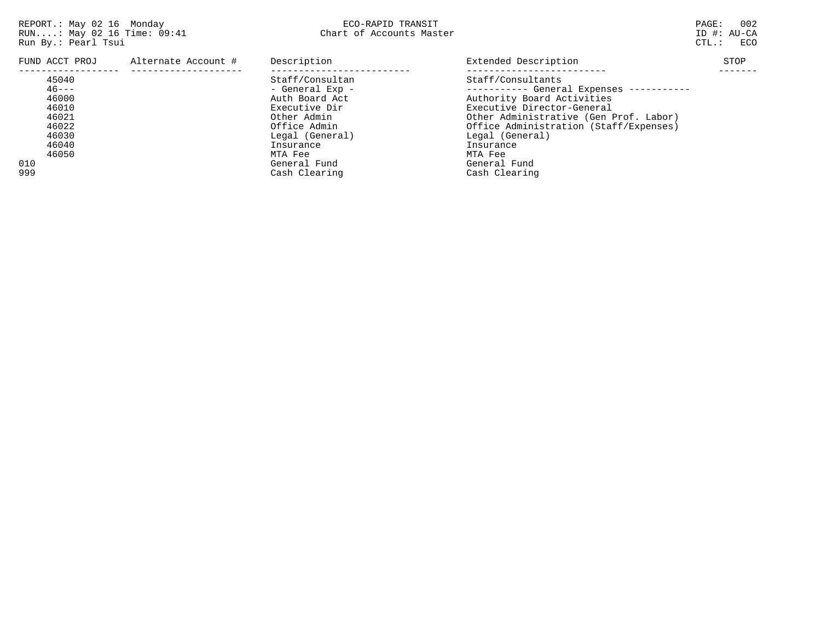| FUND ACCT PROJ                                                                                   | Alternate Account # | Description                                                                                                                                                                      | Extended Description                                                                                                                                                                                                                                                                     | STOP |
|--------------------------------------------------------------------------------------------------|---------------------|----------------------------------------------------------------------------------------------------------------------------------------------------------------------------------|------------------------------------------------------------------------------------------------------------------------------------------------------------------------------------------------------------------------------------------------------------------------------------------|------|
| 45040<br>$46 - - -$<br>46000<br>46010<br>46021<br>46022<br>46030<br>46040<br>46050<br>010<br>999 |                     | Staff/Consultan<br>- General Exp -<br>Auth Board Act<br>Executive Dir<br>Other Admin<br>Office Admin<br>Legal (General)<br>Insurance<br>MTA Fee<br>General Fund<br>Cash Clearing | Staff/Consultants<br>---------- General Expenses -----------<br>Authority Board Activities<br>Executive Director-General<br>Other Administrative (Gen Prof. Labor)<br>Office Administration (Staff/Expenses)<br>Legal (General)<br>Insurance<br>MTA Fee<br>General Fund<br>Cash Clearing |      |